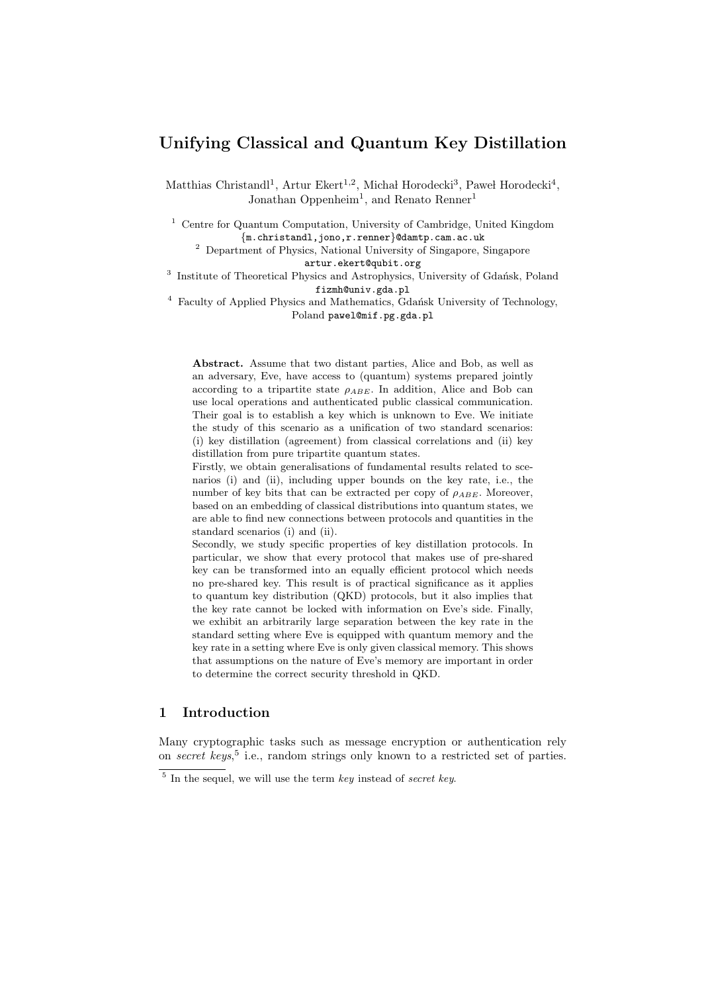# Unifying Classical and Quantum Key Distillation

Matthias Christandl<sup>1</sup>, Artur Ekert<sup>1,2</sup>, Michał Horodecki<sup>3</sup>, Paweł Horodecki<sup>4</sup>, Jonathan Oppenheim<sup>1</sup>, and Renato Renner<sup>1</sup>

<sup>1</sup> Centre for Quantum Computation, University of Cambridge, United Kingdom {m.christandl,jono,r.renner}@damtp.cam.ac.uk

<sup>2</sup> Department of Physics, National University of Singapore, Singapore

artur.ekert@qubit.org

<sup>3</sup> Institute of Theoretical Physics and Astrophysics, University of Gdańsk, Poland fizmh@univ.gda.pl

<sup>4</sup> Faculty of Applied Physics and Mathematics, Gdańsk University of Technology, Poland pawel@mif.pg.gda.pl

Abstract. Assume that two distant parties, Alice and Bob, as well as an adversary, Eve, have access to (quantum) systems prepared jointly according to a tripartite state  $\rho_{ABE}$ . In addition, Alice and Bob can use local operations and authenticated public classical communication. Their goal is to establish a key which is unknown to Eve. We initiate the study of this scenario as a unification of two standard scenarios: (i) key distillation (agreement) from classical correlations and (ii) key distillation from pure tripartite quantum states.

Firstly, we obtain generalisations of fundamental results related to scenarios (i) and (ii), including upper bounds on the key rate, i.e., the number of key bits that can be extracted per copy of  $\rho_{ABE}$ . Moreover, based on an embedding of classical distributions into quantum states, we are able to find new connections between protocols and quantities in the standard scenarios (i) and (ii).

Secondly, we study specific properties of key distillation protocols. In particular, we show that every protocol that makes use of pre-shared key can be transformed into an equally efficient protocol which needs no pre-shared key. This result is of practical significance as it applies to quantum key distribution (QKD) protocols, but it also implies that the key rate cannot be locked with information on Eve's side. Finally, we exhibit an arbitrarily large separation between the key rate in the standard setting where Eve is equipped with quantum memory and the key rate in a setting where Eve is only given classical memory. This shows that assumptions on the nature of Eve's memory are important in order to determine the correct security threshold in QKD.

# 1 Introduction

Many cryptographic tasks such as message encryption or authentication rely on *secret keys*,<sup>5</sup> i.e., random strings only known to a restricted set of parties.

 $5$  In the sequel, we will use the term key instead of secret key.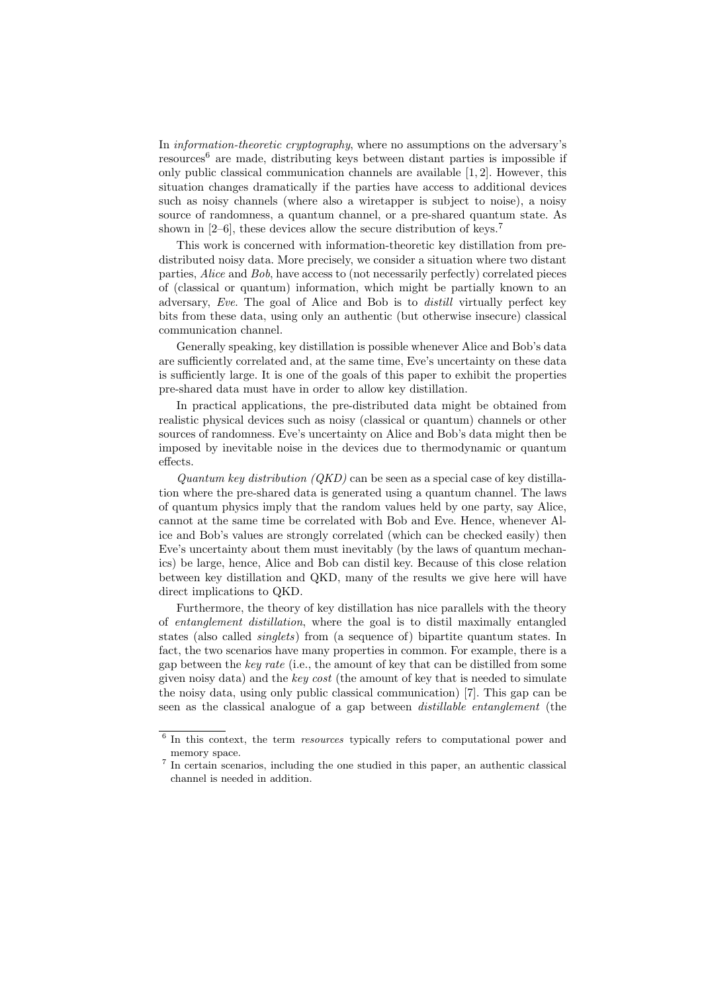In information-theoretic cryptography, where no assumptions on the adversary's resources<sup>6</sup> are made, distributing keys between distant parties is impossible if only public classical communication channels are available [1, 2]. However, this situation changes dramatically if the parties have access to additional devices such as noisy channels (where also a wiretapper is subject to noise), a noisy source of randomness, a quantum channel, or a pre-shared quantum state. As shown in  $[2-6]$ , these devices allow the secure distribution of keys.<sup>7</sup>

This work is concerned with information-theoretic key distillation from predistributed noisy data. More precisely, we consider a situation where two distant parties, Alice and Bob, have access to (not necessarily perfectly) correlated pieces of (classical or quantum) information, which might be partially known to an adversary, Eve. The goal of Alice and Bob is to distill virtually perfect key bits from these data, using only an authentic (but otherwise insecure) classical communication channel.

Generally speaking, key distillation is possible whenever Alice and Bob's data are sufficiently correlated and, at the same time, Eve's uncertainty on these data is sufficiently large. It is one of the goals of this paper to exhibit the properties pre-shared data must have in order to allow key distillation.

In practical applications, the pre-distributed data might be obtained from realistic physical devices such as noisy (classical or quantum) channels or other sources of randomness. Eve's uncertainty on Alice and Bob's data might then be imposed by inevitable noise in the devices due to thermodynamic or quantum effects.

Quantum key distribution  $(QKD)$  can be seen as a special case of key distillation where the pre-shared data is generated using a quantum channel. The laws of quantum physics imply that the random values held by one party, say Alice, cannot at the same time be correlated with Bob and Eve. Hence, whenever Alice and Bob's values are strongly correlated (which can be checked easily) then Eve's uncertainty about them must inevitably (by the laws of quantum mechanics) be large, hence, Alice and Bob can distil key. Because of this close relation between key distillation and QKD, many of the results we give here will have direct implications to QKD.

Furthermore, the theory of key distillation has nice parallels with the theory of entanglement distillation, where the goal is to distil maximally entangled states (also called singlets) from (a sequence of) bipartite quantum states. In fact, the two scenarios have many properties in common. For example, there is a gap between the key rate (i.e., the amount of key that can be distilled from some given noisy data) and the key cost (the amount of key that is needed to simulate the noisy data, using only public classical communication) [7]. This gap can be seen as the classical analogue of a gap between distillable entanglement (the

<sup>&</sup>lt;sup>6</sup> In this context, the term *resources* typically refers to computational power and memory space.

<sup>7</sup> In certain scenarios, including the one studied in this paper, an authentic classical channel is needed in addition.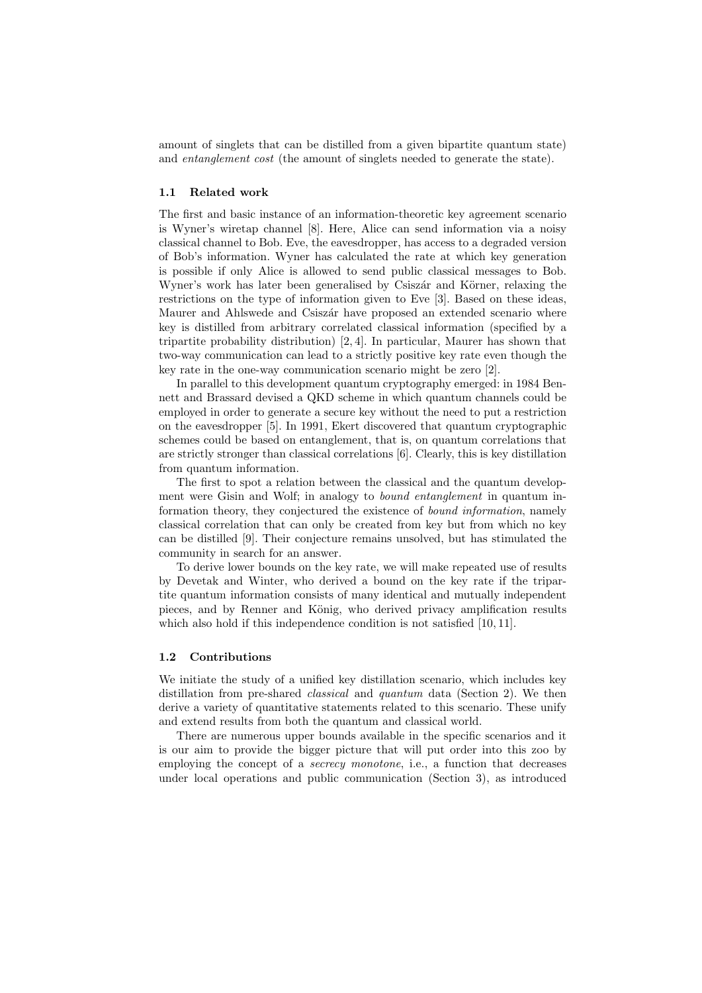amount of singlets that can be distilled from a given bipartite quantum state) and *entanglement cost* (the amount of singlets needed to generate the state).

### 1.1 Related work

The first and basic instance of an information-theoretic key agreement scenario is Wyner's wiretap channel [8]. Here, Alice can send information via a noisy classical channel to Bob. Eve, the eavesdropper, has access to a degraded version of Bob's information. Wyner has calculated the rate at which key generation is possible if only Alice is allowed to send public classical messages to Bob. Wyner's work has later been generalised by Csiszár and Körner, relaxing the restrictions on the type of information given to Eve [3]. Based on these ideas, Maurer and Ahlswede and Csiszár have proposed an extended scenario where key is distilled from arbitrary correlated classical information (specified by a tripartite probability distribution) [2, 4]. In particular, Maurer has shown that two-way communication can lead to a strictly positive key rate even though the key rate in the one-way communication scenario might be zero [2].

In parallel to this development quantum cryptography emerged: in 1984 Bennett and Brassard devised a QKD scheme in which quantum channels could be employed in order to generate a secure key without the need to put a restriction on the eavesdropper [5]. In 1991, Ekert discovered that quantum cryptographic schemes could be based on entanglement, that is, on quantum correlations that are strictly stronger than classical correlations [6]. Clearly, this is key distillation from quantum information.

The first to spot a relation between the classical and the quantum development were Gisin and Wolf; in analogy to *bound entanglement* in quantum information theory, they conjectured the existence of bound information, namely classical correlation that can only be created from key but from which no key can be distilled [9]. Their conjecture remains unsolved, but has stimulated the community in search for an answer.

To derive lower bounds on the key rate, we will make repeated use of results by Devetak and Winter, who derived a bound on the key rate if the tripartite quantum information consists of many identical and mutually independent pieces, and by Renner and König, who derived privacy amplification results which also hold if this independence condition is not satisfied [10, 11].

#### 1.2 Contributions

We initiate the study of a unified key distillation scenario, which includes key distillation from pre-shared *classical* and *quantum* data (Section 2). We then derive a variety of quantitative statements related to this scenario. These unify and extend results from both the quantum and classical world.

There are numerous upper bounds available in the specific scenarios and it is our aim to provide the bigger picture that will put order into this zoo by employing the concept of a *secrecy monotone*, i.e., a function that decreases under local operations and public communication (Section 3), as introduced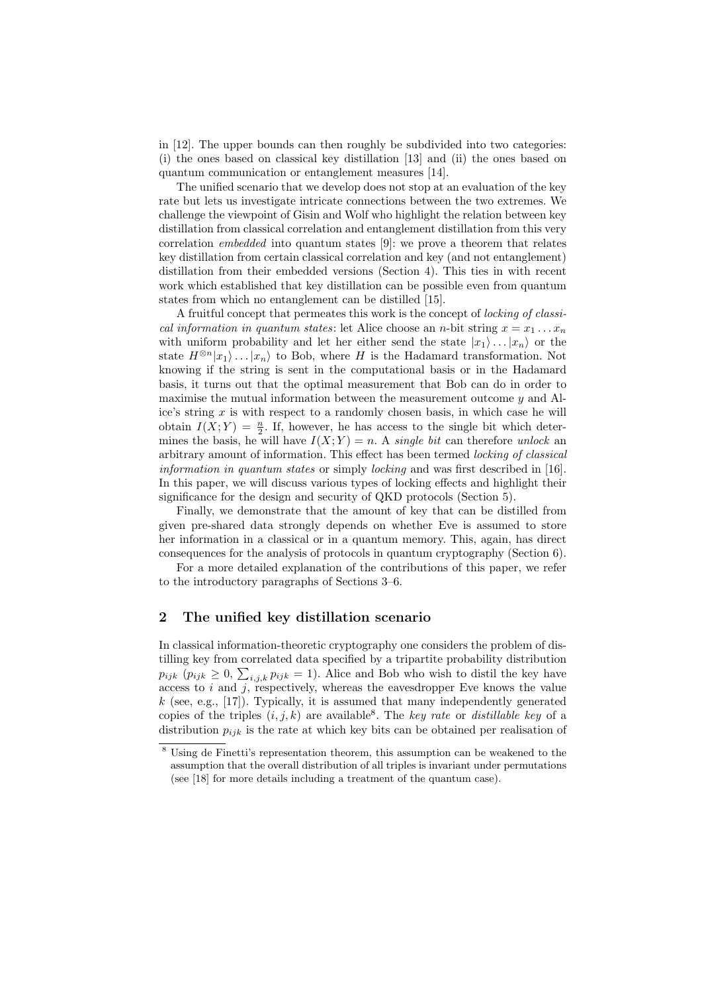in [12]. The upper bounds can then roughly be subdivided into two categories: (i) the ones based on classical key distillation [13] and (ii) the ones based on quantum communication or entanglement measures [14].

The unified scenario that we develop does not stop at an evaluation of the key rate but lets us investigate intricate connections between the two extremes. We challenge the viewpoint of Gisin and Wolf who highlight the relation between key distillation from classical correlation and entanglement distillation from this very correlation embedded into quantum states [9]: we prove a theorem that relates key distillation from certain classical correlation and key (and not entanglement) distillation from their embedded versions (Section 4). This ties in with recent work which established that key distillation can be possible even from quantum states from which no entanglement can be distilled [15].

A fruitful concept that permeates this work is the concept of locking of classical information in quantum states: let Alice choose an n-bit string  $x = x_1 \ldots x_n$ with uniform probability and let her either send the state  $|x_1\rangle \dots |x_n\rangle$  or the state  $H^{\otimes n}|x_1\rangle \ldots |x_n\rangle$  to Bob, where H is the Hadamard transformation. Not knowing if the string is sent in the computational basis or in the Hadamard basis, it turns out that the optimal measurement that Bob can do in order to maximise the mutual information between the measurement outcome  $y$  and Alice's string x is with respect to a randomly chosen basis, in which case he will obtain  $I(X;Y) = \frac{n}{2}$ . If, however, he has access to the single bit which determines the basis, he will have  $I(X; Y) = n$ . A single bit can therefore unlock an arbitrary amount of information. This effect has been termed locking of classical information in quantum states or simply locking and was first described in [16]. In this paper, we will discuss various types of locking effects and highlight their significance for the design and security of QKD protocols (Section 5).

Finally, we demonstrate that the amount of key that can be distilled from given pre-shared data strongly depends on whether Eve is assumed to store her information in a classical or in a quantum memory. This, again, has direct consequences for the analysis of protocols in quantum cryptography (Section 6).

For a more detailed explanation of the contributions of this paper, we refer to the introductory paragraphs of Sections 3–6.

# 2 The unified key distillation scenario

In classical information-theoretic cryptography one considers the problem of distilling key from correlated data specified by a tripartite probability distribution  $p_{ijk}$  ( $p_{ijk} \geq 0$ ,  $\sum_{i,j,k} p_{ijk} = 1$ ). Alice and Bob who wish to distil the key have access to  $i$  and  $j$ , respectively, whereas the eavesdropper Eve knows the value  $k$  (see, e.g., [17]). Typically, it is assumed that many independently generated copies of the triples  $(i, j, k)$  are available<sup>8</sup>. The key rate or distillable key of a distribution  $p_{ijk}$  is the rate at which key bits can be obtained per realisation of

<sup>8</sup> Using de Finetti's representation theorem, this assumption can be weakened to the assumption that the overall distribution of all triples is invariant under permutations (see [18] for more details including a treatment of the quantum case).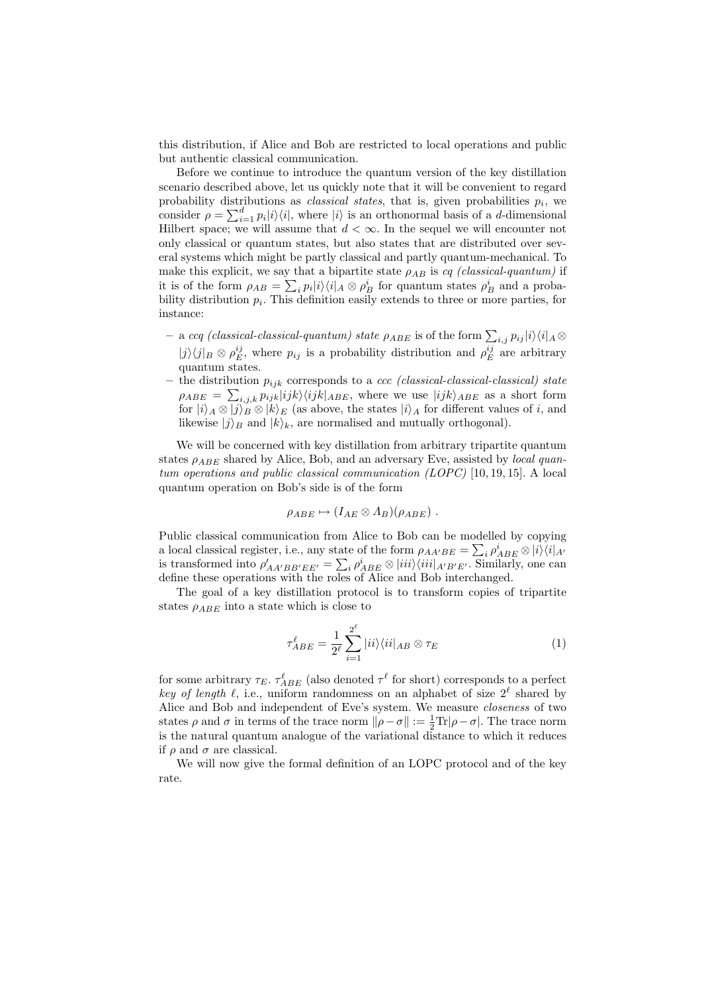this distribution, if Alice and Bob are restricted to local operations and public but authentic classical communication.

Before we continue to introduce the quantum version of the key distillation scenario described above, let us quickly note that it will be convenient to regard probability distributions as *classical states*, that is, given probabilities  $p_i$ , we consider  $\rho = \sum_{i=1}^{d} p_i |i\rangle\langle i|$ , where  $|i\rangle$  is an orthonormal basis of a *d*-dimensional Hilbert space; we will assume that  $d < \infty$ . In the sequel we will encounter not only classical or quantum states, but also states that are distributed over several systems which might be partly classical and partly quantum-mechanical. To make this explicit, we say that a bipartite state  $\rho_{AB}$  is cq (classical-quantum) if it is of the form  $\rho_{AB} = \sum_i p_i |i\rangle\langle i|_A \otimes \rho_B^i$  for quantum states  $\rho_B^i$  and a probability distribution  $p_i$ . This definition easily extends to three or more parties, for instance:

- $-$  a ccq (classical-classical-quantum) state  $\rho_{ABE}$  is of the form  $\sum_{i,j} p_{ij} |i\rangle\langle i|_A \otimes$  $|j\rangle\langle j|_B \otimes \rho_E^{ij}$ , where  $p_{ij}$  is a probability distribution and  $\rho_E^{ij}$  are arbitrary quantum states.
- the distribution  $p_{ijk}$  corresponds to a ccc (classical-classical-classical) state  $\rho_{ABE} = \sum_{i,j,k} p_{ijk} |ijk\rangle\langle ijk|_{ABE}$ , where we use  $|ijk\rangle_{ABE}$  as a short form for  $|i\rangle_A \otimes |j\rangle_B \otimes |k\rangle_E$  (as above, the states  $|i\rangle_A$  for different values of i, and likewise  $|j\rangle_B$  and  $|k\rangle_k$ , are normalised and mutually orthogonal).

We will be concerned with key distillation from arbitrary tripartite quantum states  $\rho_{ABE}$  shared by Alice, Bob, and an adversary Eve, assisted by *local quan*tum operations and public classical communication (LOPC) [10, 19, 15]. A local quantum operation on Bob's side is of the form

$$
\rho_{ABE} \mapsto (I_{AE} \otimes \Lambda_B)(\rho_{ABE}).
$$

Public classical communication from Alice to Bob can be modelled by copying a local classical register, i.e., any state of the form  $\rho_{AA'BE} = \sum_i \rho_{ABE}^i \otimes |i\rangle\langle i|_{A'}$ is transformed into  $\rho'_{AA'BB'EE'} = \sum_i \rho^i_{ABE} \otimes |iii\rangle\langle iii|_{A'B'E'}$ . Similarly, one can define these operations with the roles of Alice and Bob interchanged.

The goal of a key distillation protocol is to transform copies of tripartite states  $\rho_{ABE}$  into a state which is close to

$$
\tau_{ABE}^{\ell} = \frac{1}{2^{\ell}} \sum_{i=1}^{2^{\ell}} |ii\rangle\langle ii|_{AB} \otimes \tau_E
$$
 (1)

for some arbitrary  $\tau_E$ .  $\tau_{ABE}^{\ell}$  (also denoted  $\tau^{\ell}$  for short) corresponds to a perfect key of length  $\ell$ , i.e., uniform randomness on an alphabet of size  $2^{\ell}$  shared by Alice and Bob and independent of Eve's system. We measure closeness of two states  $\rho$  and  $\sigma$  in terms of the trace norm  $\|\rho - \sigma\| := \frac{1}{2} \text{Tr}|\rho - \sigma|$ . The trace norm is the natural quantum analogue of the variational distance to which it reduces if  $\rho$  and  $\sigma$  are classical.

We will now give the formal definition of an LOPC protocol and of the key rate.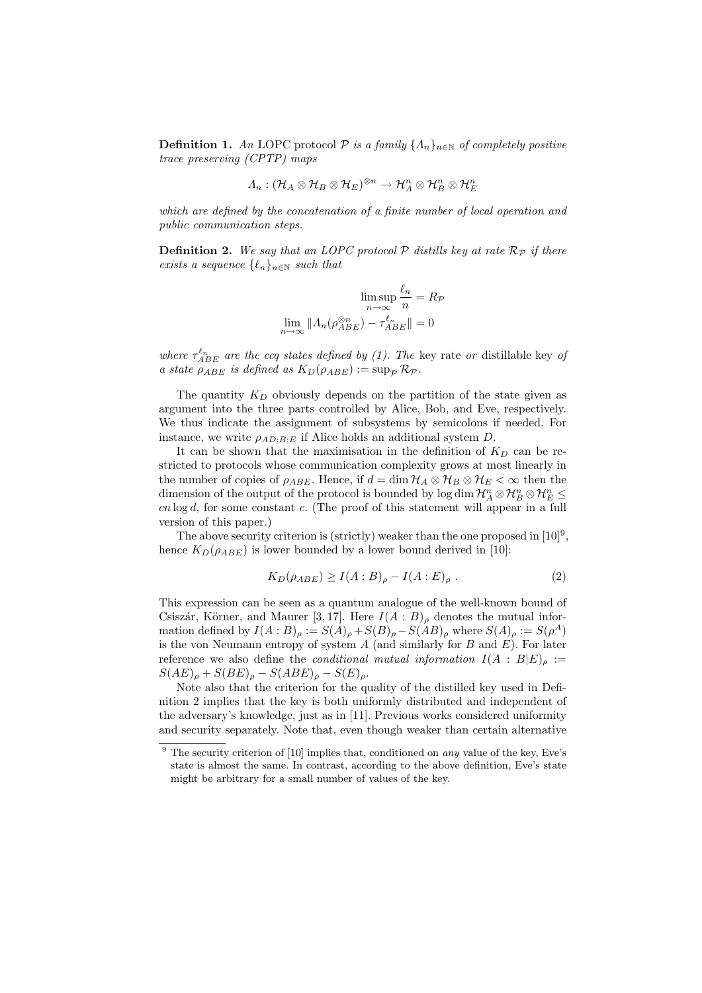**Definition 1.** An LOPC protocol  $P$  is a family  $\{\Lambda_n\}_{n\in\mathbb{N}}$  of completely positive trace preserving (CPTP) maps

$$
\varLambda_n:({\cal H}_A\otimes{\cal H}_B\otimes{\cal H}_E)^{\otimes n}\rightarrow{\cal H}_A^n\otimes{\cal H}_B^n\otimes{\cal H}_E^n
$$

which are defined by the concatenation of a finite number of local operation and public communication steps.

**Definition 2.** We say that an LOPC protocol  $P$  distills key at rate  $\mathcal{R}_P$  if there exists a sequence  $\{\ell_n\}_{n\in\mathbb{N}}$  such that

$$
\limsup_{n \to \infty} \frac{\ell_n}{n} = R_{\mathcal{P}}
$$

$$
\lim_{n \to \infty} ||A_n(\rho_{ABE}^{\otimes n}) - \tau_{ABE}^{\ell_n}|| = 0
$$

where  $\tau_{ABE}^{\ell_n}$  are the ccq states defined by (1). The key rate or distillable key of a state  $\rho_{ABE}$  is defined as  $K_D(\rho_{ABE}) := \sup_{\mathcal{D}} \mathcal{R}_{\mathcal{P}}$ .

The quantity  $K_D$  obviously depends on the partition of the state given as argument into the three parts controlled by Alice, Bob, and Eve, respectively. We thus indicate the assignment of subsystems by semicolons if needed. For instance, we write  $\rho_{AD;B;E}$  if Alice holds an additional system D.

It can be shown that the maximisation in the definition of  $K_D$  can be restricted to protocols whose communication complexity grows at most linearly in the number of copies of  $\rho_{ABE}$ . Hence, if  $d = \dim \mathcal{H}_A \otimes \mathcal{H}_B \otimes \mathcal{H}_E < \infty$  then the dimension of the output of the protocol is bounded by  $\log \dim \mathcal{H}_A^n\otimes \mathcal{H}_B^n\otimes \mathcal{H}_E^n\leq$  $cn \log d$ , for some constant  $c$ . (The proof of this statement will appear in a full version of this paper.)

The above security criterion is (strictly) weaker than the one proposed in  $[10]^9$ , hence  $K_D(\rho_{ABE})$  is lower bounded by a lower bound derived in [10]:

$$
K_D(\rho_{ABE}) \ge I(A:B)_{\rho} - I(A:E)_{\rho} . \tag{2}
$$

This expression can be seen as a quantum analogue of the well-known bound of Csiszár, Körner, and Maurer [3, 17]. Here  $I(A : B)$ <sub>p</sub> denotes the mutual information defined by  $I(A:B)_{\rho} := S(A)_{\rho} + S(B)_{\rho} - S(AB)_{\rho}$  where  $S(A)_{\rho} := S(\rho^A)$ is the von Neumann entropy of system  $A$  (and similarly for  $B$  and  $E$ ). For later reference we also define the *conditional mutual information*  $I(A : B|E)_{\rho}$  :=  $S(AE)_{\rho} + S(BE)_{\rho} - S(ABE)_{\rho} - S(E)_{\rho}.$ 

Note also that the criterion for the quality of the distilled key used in Definition 2 implies that the key is both uniformly distributed and independent of the adversary's knowledge, just as in [11]. Previous works considered uniformity and security separately. Note that, even though weaker than certain alternative

 $9$  The security criterion of [10] implies that, conditioned on *any* value of the key, Eve's state is almost the same. In contrast, according to the above definition, Eve's state might be arbitrary for a small number of values of the key.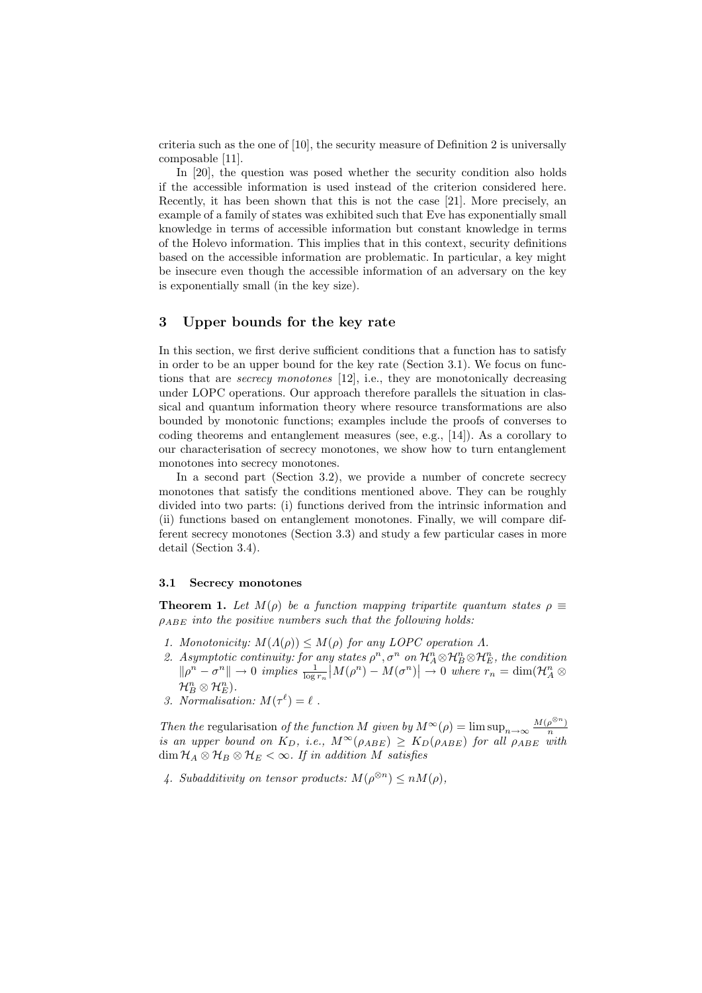criteria such as the one of [10], the security measure of Definition 2 is universally composable [11].

In [20], the question was posed whether the security condition also holds if the accessible information is used instead of the criterion considered here. Recently, it has been shown that this is not the case [21]. More precisely, an example of a family of states was exhibited such that Eve has exponentially small knowledge in terms of accessible information but constant knowledge in terms of the Holevo information. This implies that in this context, security definitions based on the accessible information are problematic. In particular, a key might be insecure even though the accessible information of an adversary on the key is exponentially small (in the key size).

### 3 Upper bounds for the key rate

In this section, we first derive sufficient conditions that a function has to satisfy in order to be an upper bound for the key rate (Section 3.1). We focus on functions that are secrecy monotones [12], i.e., they are monotonically decreasing under LOPC operations. Our approach therefore parallels the situation in classical and quantum information theory where resource transformations are also bounded by monotonic functions; examples include the proofs of converses to coding theorems and entanglement measures (see, e.g., [14]). As a corollary to our characterisation of secrecy monotones, we show how to turn entanglement monotones into secrecy monotones.

In a second part (Section 3.2), we provide a number of concrete secrecy monotones that satisfy the conditions mentioned above. They can be roughly divided into two parts: (i) functions derived from the intrinsic information and (ii) functions based on entanglement monotones. Finally, we will compare different secrecy monotones (Section 3.3) and study a few particular cases in more detail (Section 3.4).

### 3.1 Secrecy monotones

**Theorem 1.** Let  $M(\rho)$  be a function mapping tripartite quantum states  $\rho \equiv$  $\rho_{ABE}$  into the positive numbers such that the following holds:

- 1. Monotonicity:  $M(\Lambda(\rho)) \leq M(\rho)$  for any LOPC operation  $\Lambda$ .
- 2. Asymptotic continuity: for any states  $\rho^n$ ,  $\sigma^n$  on  $\mathcal{H}_A^n \otimes \mathcal{H}_B^n \otimes \mathcal{H}_E^n$ , the condition  $\|\rho^n - \sigma^n\| \to 0$  implies  $\frac{1}{\log r_n}|M(\rho^n) - M(\sigma^n)| \to 0$  where  $r_n = \dim(\mathcal{H}_A^n \otimes$  $\mathcal{H}_B^n\otimes\mathcal{H}_E^n).$
- 3. Normalisation:  $M(\tau^{\ell}) = \ell$ .

Then the regularisation of the function M given by  $M^{\infty}(\rho) = \limsup_{n \to \infty} \frac{M(\rho^{\otimes n})}{n}$ is an upper bound on  $K_D$ , i.e.,  $M^{\infty}(\rho_{ABE}) \geq K_D(\rho_{ABE})$  for all  $\rho_{ABE}$  with  $\dim \mathcal{H}_A \otimes \mathcal{H}_B \otimes \mathcal{H}_E < \infty$ . If in addition M satisfies

4. Subadditivity on tensor products:  $M(\rho^{\otimes n}) \leq n M(\rho)$ ,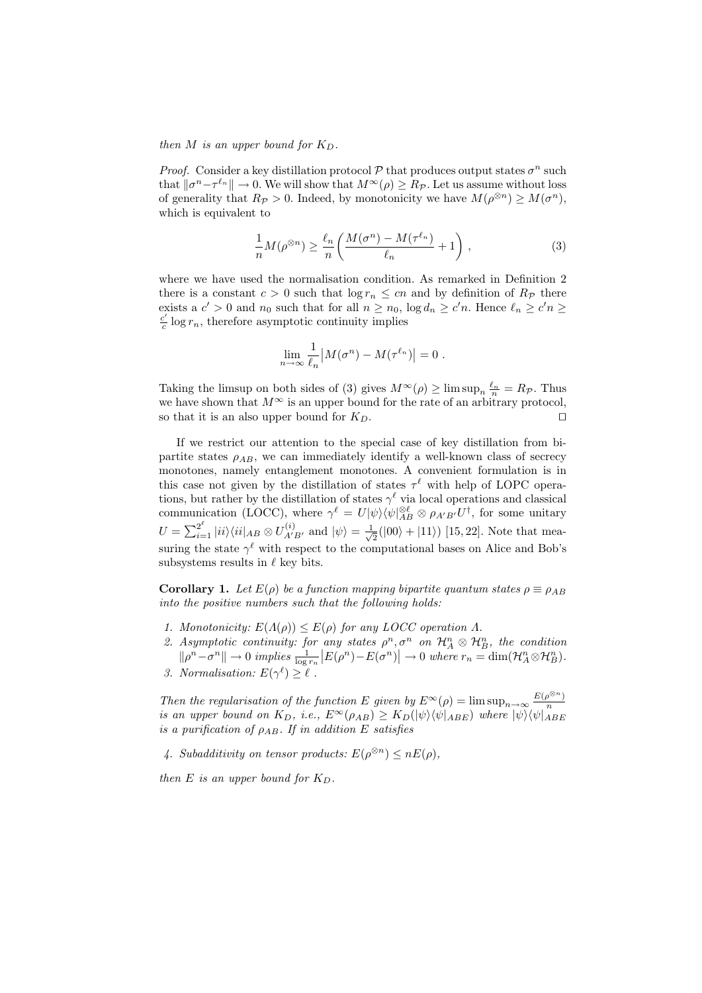#### then M is an upper bound for  $K_D$ .

*Proof.* Consider a key distillation protocol  $P$  that produces output states  $\sigma^n$  such that  $\|\sigma^{n}-\tau^{\ell_n}\| \to 0$ . We will show that  $M^{\infty}(\rho) \geq R_{\mathcal{P}}$ . Let us assume without loss of generality that  $R_{\mathcal{P}} > 0$ . Indeed, by monotonicity we have  $M(\rho^{\otimes n}) \geq M(\sigma^n)$ , which is equivalent to

$$
\frac{1}{n}M(\rho^{\otimes n}) \ge \frac{\ell_n}{n} \left( \frac{M(\sigma^n) - M(\tau^{\ell_n})}{\ell_n} + 1 \right),\tag{3}
$$

where we have used the normalisation condition. As remarked in Definition 2 there is a constant  $c > 0$  such that  $\log r_n \leq cn$  and by definition of  $R_p$  there exists a  $c' > 0$  and  $n_0$  such that for all  $n \ge n_0$ ,  $\log d_n \ge c'n$ . Hence  $\ell_n \ge c'n \ge$  $\frac{c'}{c}$  log  $r_n$ , therefore asymptotic continuity implies

$$
\lim_{n \to \infty} \frac{1}{\ell_n} |M(\sigma^n) - M(\tau^{\ell_n})| = 0.
$$

Taking the limsup on both sides of (3) gives  $M^{\infty}(\rho) \ge \limsup_n \frac{\ell_n}{n} = R_{\mathcal{P}}$ . Thus we have shown that  $M^{\infty}$  is an upper bound for the rate of an arbitrary protocol, so that it is an also upper bound for  $K_D$ .

If we restrict our attention to the special case of key distillation from bipartite states  $\rho_{AB}$ , we can immediately identify a well-known class of secrecy monotones, namely entanglement monotones. A convenient formulation is in this case not given by the distillation of states  $\tau^{\ell}$  with help of LOPC operations, but rather by the distillation of states  $\gamma^{\ell}$  via local operations and classical communication (LOCC), where  $\gamma^{\ell} = U|\psi\rangle\langle\psi|_{AB}^{\otimes \ell} \otimes \rho_{A'B'}U^{\dagger}$ , for some unitary  $U = \sum_{i=1}^{2^{\ell}} |ii\rangle\langle ii|_{AB} \otimes U_{A'B'}^{(i)}$  and  $|\psi\rangle = \frac{1}{\sqrt{\pi}}$  $\frac{1}{2}(|00\rangle + |11\rangle)$  [15, 22]. Note that measuring the state  $\gamma^{\ell}$  with respect to the computational bases on Alice and Bob's subsystems results in  $\ell$  key bits.

**Corollary 1.** Let  $E(\rho)$  be a function mapping bipartite quantum states  $\rho \equiv \rho_{AB}$ into the positive numbers such that the following holds:

- 1. Monotonicity:  $E(A(\rho)) \leq E(\rho)$  for any LOCC operation  $\Lambda$ .
- 2. Asymptotic continuity: for any states  $\rho^n, \sigma^n$  on  $\mathcal{H}_A^n \otimes \mathcal{H}_B^n$ , the condition  $\|\rho^n-\sigma^n\|\to 0$  implies  $\frac{1}{\log r_n}|E(\rho^n)-E(\sigma^n)|\to 0$  where  $r_n=\dim(\mathcal{H}_A^n\otimes\mathcal{H}_B^n)$ .
- 3. Normalisation:  $E(\gamma^{\ell}) \geq \ell$ .

Then the regularisation of the function E given by  $E^{\infty}(\rho) = \limsup_{n \to \infty} \frac{E(\rho^{\otimes n})}{n}$ is an upper bound on  $K_D$ , i.e.,  $E^{\infty}(\rho_{AB}) \geq K_D(\vert\psi\rangle \langle\psi\vert_{ABE})$  where  $\vert\psi\rangle \langle\psi\vert_{ABE}$ is a purification of  $\rho_{AB}$ . If in addition E satisfies

4. Subadditivity on tensor products:  $E(\rho^{\otimes n}) \leq nE(\rho)$ ,

then E is an upper bound for  $K_D$ .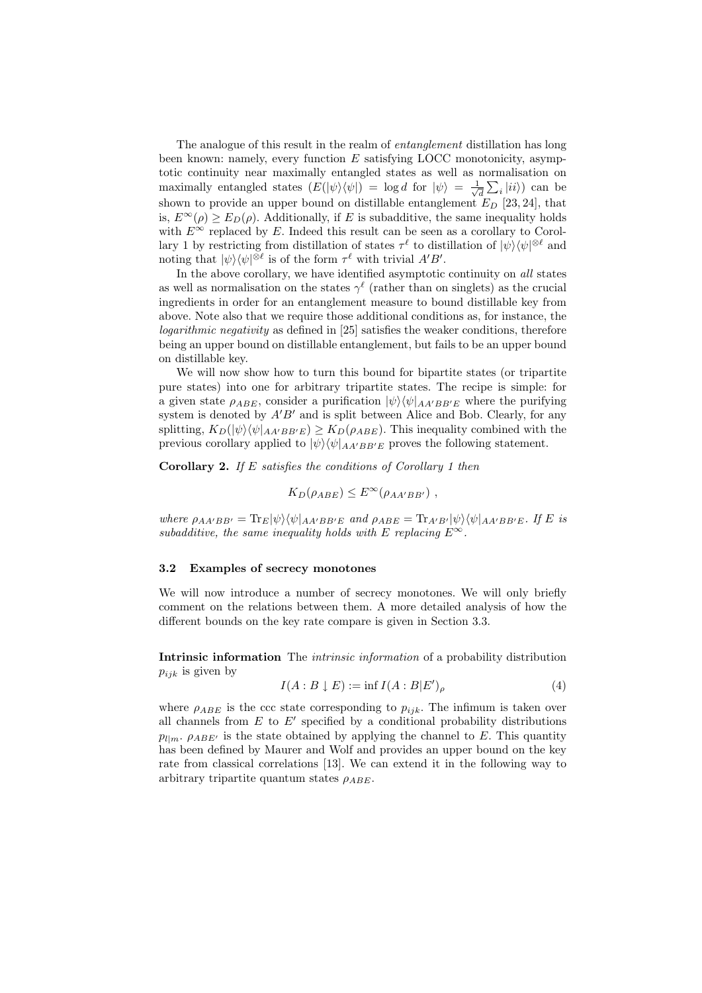The analogue of this result in the realm of entanglement distillation has long been known: namely, every function E satisfying LOCC monotonicity, asymptotic continuity near maximally entangled states as well as normalisation on maximally entangled states  $(E(|\psi\rangle\langle\psi|) = \log d$  for  $|\psi\rangle = \frac{1}{\sqrt{2}}$  $\frac{1}{\overline{d}}\sum_i |ii\rangle$  can be shown to provide an upper bound on distillable entanglement  $E_D$  [23, 24], that is,  $E^{\infty}(\rho) \geq E_D(\rho)$ . Additionally, if E is subadditive, the same inequality holds with  $E^{\infty}$  replaced by E. Indeed this result can be seen as a corollary to Corollary 1 by restricting from distillation of states  $\tau^{\ell}$  to distillation of  $|\psi\rangle\langle\psi|^{\otimes\ell}$  and noting that  $|\psi\rangle\langle\psi|^{\otimes \ell}$  is of the form  $\tau^{\ell}$  with trivial  $A'B'$ .

In the above corollary, we have identified asymptotic continuity on all states as well as normalisation on the states  $\gamma^{\ell}$  (rather than on singlets) as the crucial ingredients in order for an entanglement measure to bound distillable key from above. Note also that we require those additional conditions as, for instance, the logarithmic negativity as defined in [25] satisfies the weaker conditions, therefore being an upper bound on distillable entanglement, but fails to be an upper bound on distillable key.

We will now show how to turn this bound for bipartite states (or tripartite pure states) into one for arbitrary tripartite states. The recipe is simple: for a given state  $\rho_{ABE}$ , consider a purification  $|\psi\rangle\langle\psi|_{AA'BB'E}$  where the purifying system is denoted by  $A'B'$  and is split between Alice and Bob. Clearly, for any splitting,  $K_D(|\psi\rangle\langle\psi|_{AA'BB'E}) \geq K_D(\rho_{ABE})$ . This inequality combined with the previous corollary applied to  $|\psi\rangle\langle\psi|_{AA'BB'E}$  proves the following statement.

**Corollary 2.** If E satisfies the conditions of Corollary 1 then

$$
K_D(\rho_{ABE}) \leq E^{\infty}(\rho_{AA'BB'}) ,
$$

where  $\rho_{AA'BB'} = \text{Tr}_E|\psi\rangle\langle\psi|_{AA'BB'E}$  and  $\rho_{ABE} = \text{Tr}_{A'B'}|\psi\rangle\langle\psi|_{AA'BB'E}$ . If E is subadditive, the same inequality holds with E replacing  $E^{\infty}$ .

### 3.2 Examples of secrecy monotones

We will now introduce a number of secrecy monotones. We will only briefly comment on the relations between them. A more detailed analysis of how the different bounds on the key rate compare is given in Section 3.3.

Intrinsic information The *intrinsic information* of a probability distribution  $p_{ijk}$  is given by

$$
I(A:B \downarrow E) := \inf I(A:B|E')_{\rho} \tag{4}
$$

where  $\rho_{ABE}$  is the ccc state corresponding to  $p_{ijk}$ . The infimum is taken over all channels from  $E$  to  $E'$  specified by a conditional probability distributions  $p_{l|m}$ .  $\rho_{ABE'}$  is the state obtained by applying the channel to E. This quantity has been defined by Maurer and Wolf and provides an upper bound on the key rate from classical correlations [13]. We can extend it in the following way to arbitrary tripartite quantum states  $\rho_{ABE}$ .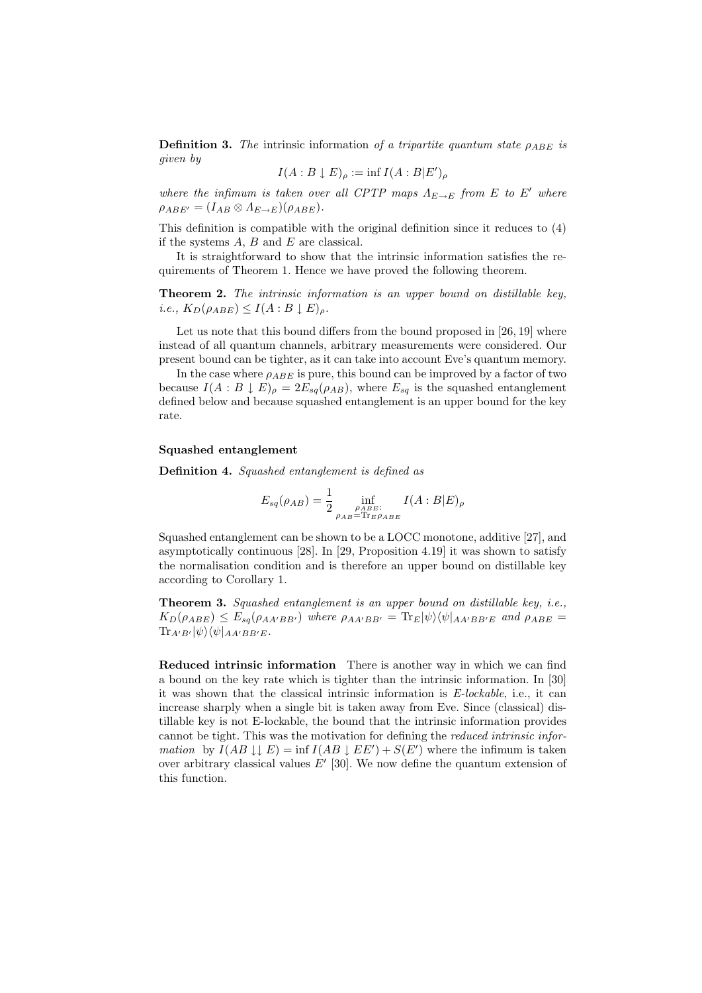**Definition 3.** The intrinsic information of a tripartite quantum state  $\rho_{ABE}$  is given by

$$
I(A:B\downarrow E)_{\rho} := \inf I(A:B|E')_{\rho}
$$

where the infimum is taken over all CPTP maps  $\Lambda_{E\to E}$  from E to E' where  $\rho_{ABE'} = (I_{AB} \otimes A_{E\rightarrow E})(\rho_{ABE}).$ 

This definition is compatible with the original definition since it reduces to (4) if the systems A, B and E are classical.

It is straightforward to show that the intrinsic information satisfies the requirements of Theorem 1. Hence we have proved the following theorem.

**Theorem 2.** The intrinsic information is an upper bound on distillable key, i.e.,  $K_D(\rho_{ABE}) \leq I(A:B \downarrow E)_{\rho}$ .

Let us note that this bound differs from the bound proposed in [26, 19] where instead of all quantum channels, arbitrary measurements were considered. Our present bound can be tighter, as it can take into account Eve's quantum memory.

In the case where  $\rho_{ABE}$  is pure, this bound can be improved by a factor of two because  $I(A : B \downarrow E)$ <sub> $\rho$ </sub> =  $2E_{sq}(\rho_{AB})$ , where  $E_{sq}$  is the squashed entanglement defined below and because squashed entanglement is an upper bound for the key rate.

### Squashed entanglement

Definition 4. Squashed entanglement is defined as

$$
E_{sq}(\rho_{AB}) = \frac{1}{2} \inf_{\rho_{AB} = \text{Tr}_{E}\rho_{ABE}} I(A:B|E)_{\rho}
$$

Squashed entanglement can be shown to be a LOCC monotone, additive [27], and asymptotically continuous [28]. In [29, Proposition 4.19] it was shown to satisfy the normalisation condition and is therefore an upper bound on distillable key according to Corollary 1.

Theorem 3. Squashed entanglement is an upper bound on distillable key, i.e.,  $K_D(\rho_{ABE}) \leq E_{sq}(\rho_{AA'BB'})$  where  $\rho_{AA'BB'} = \text{Tr}_E|\psi\rangle\langle\psi|_{AA'BB'E}$  and  $\rho_{ABE} =$  $\text{Tr}_{A'B'}|\psi\rangle\langle\psi|_{AA'BB'E}.$ 

Reduced intrinsic information There is another way in which we can find a bound on the key rate which is tighter than the intrinsic information. In [30] it was shown that the classical intrinsic information is E-lockable, i.e., it can increase sharply when a single bit is taken away from Eve. Since (classical) distillable key is not E-lockable, the bound that the intrinsic information provides cannot be tight. This was the motivation for defining the reduced intrinsic information by  $I(AB \downarrow E) = \inf I(AB \downarrow EE') + S(E')$  where the infimum is taken over arbitrary classical values  $E'$  [30]. We now define the quantum extension of this function.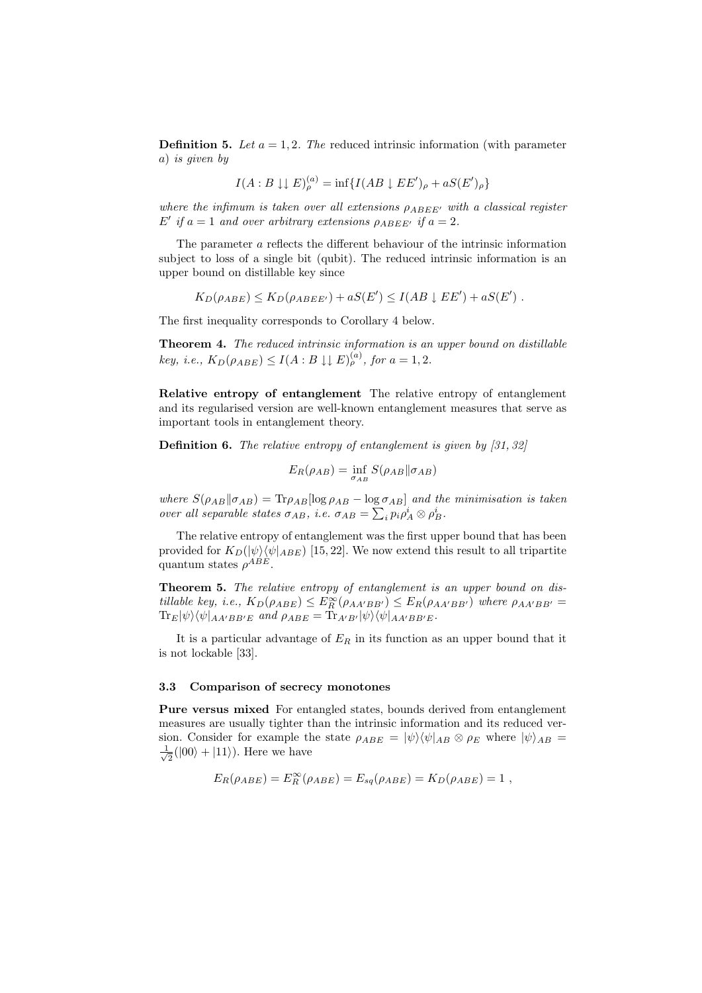**Definition 5.** Let  $a = 1, 2$ . The reduced intrinsic information (with parameter a) is given by

$$
I(A:B \downarrow \downarrow E)_{\rho}^{(a)} = \inf \{ I(AB \downarrow EE')_{\rho} + aS(E')_{\rho} \}
$$

where the infimum is taken over all extensions  $\rho_{ABEE'}$  with a classical register  $E'$  if  $a = 1$  and over arbitrary extensions  $\rho_{ABEE'}$  if  $a = 2$ .

The parameter a reflects the different behaviour of the intrinsic information subject to loss of a single bit (qubit). The reduced intrinsic information is an upper bound on distillable key since

$$
K_D(\rho_{ABE}) \leq K_D(\rho_{ABEE'}) + aS(E') \leq I(AB \downarrow EE') + aS(E') .
$$

The first inequality corresponds to Corollary 4 below.

Theorem 4. The reduced intrinsic information is an upper bound on distillable key, i.e.,  $K_D(\rho_{ABE}) \leq I(A:B\downarrow\downarrow E)_{\rho}^{(a)}$ , for  $a=1,2$ .

Relative entropy of entanglement The relative entropy of entanglement and its regularised version are well-known entanglement measures that serve as important tools in entanglement theory.

**Definition 6.** The relative entropy of entanglement is given by [31, 32]

$$
E_R(\rho_{AB}) = \inf_{\sigma_{AB}} S(\rho_{AB} || \sigma_{AB})
$$

where  $S(\rho_{AB}||\sigma_{AB}) = Tr \rho_{AB} [\log \rho_{AB} - \log \sigma_{AB}]$  and the minimisation is taken over all separable states  $\sigma_{AB}$ , i.e.  $\sigma_{AB} = \sum_i p_i \rho_A^i \otimes \rho_B^i$ .

The relative entropy of entanglement was the first upper bound that has been provided for  $K_D(|\psi\rangle\langle\psi|_{ABE})$  [15, 22]. We now extend this result to all tripartite quantum states  $\rho^{ABE}$ .

Theorem 5. The relative entropy of entanglement is an upper bound on distillable key, i.e.,  $K_D(\rho_{ABE}) \le E_R^{\infty}(\rho_{AA'BB'}) \le E_R(\rho_{AA'BB'})$  where  $\rho_{AA'BB'} =$  $\text{Tr}_E|\psi\rangle\langle\psi|_{AA'BB'E}$  and  $\rho_{ABE} = \text{Tr}_{A'B'}|\psi\rangle\langle\psi|_{AA'BB'E}$ .

It is a particular advantage of  $E_R$  in its function as an upper bound that it is not lockable [33].

#### 3.3 Comparison of secrecy monotones

Pure versus mixed For entangled states, bounds derived from entanglement measures are usually tighter than the intrinsic information and its reduced version. Consider for example the state  $\rho_{ABE} = |\psi\rangle\langle\psi|_{AB} \otimes \rho_E$  where  $|\psi\rangle_{AB} =$  $\frac{1}{2}$  $\frac{1}{2}(|00\rangle + |11\rangle)$ . Here we have

$$
E_R(\rho_{ABE}) = E_R^{\infty}(\rho_{ABE}) = E_{sq}(\rho_{ABE}) = K_D(\rho_{ABE}) = 1
$$
,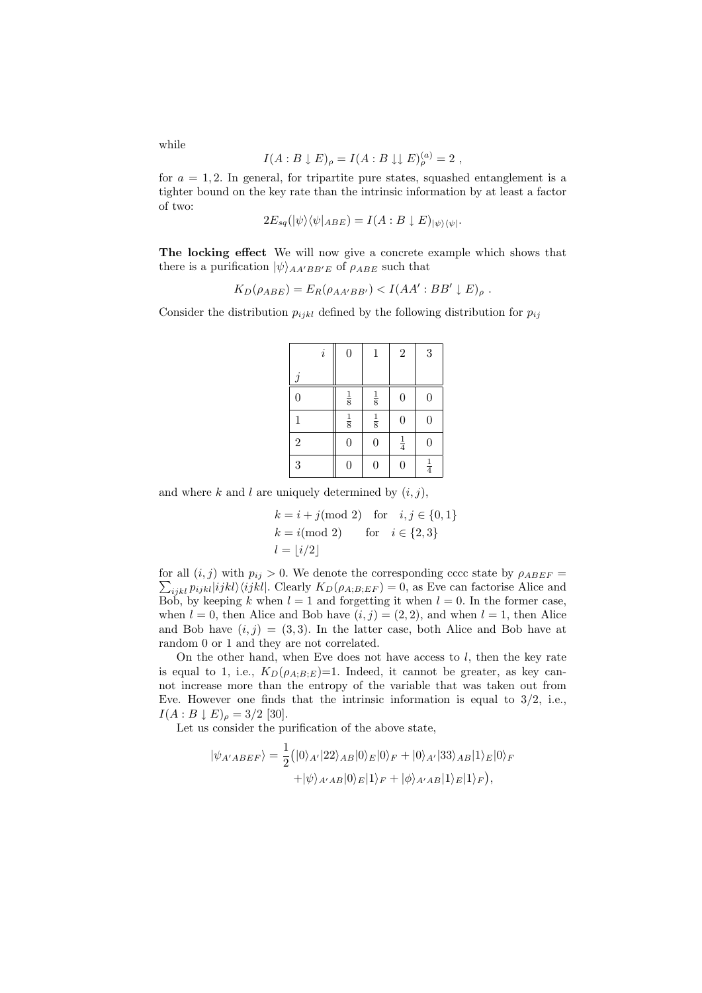while

$$
I(A:B \downarrow E)_{\rho} = I(A:B \downarrow \downarrow E)_{\rho}^{(a)} = 2 ,
$$

for  $a = 1, 2$ . In general, for tripartite pure states, squashed entanglement is a tighter bound on the key rate than the intrinsic information by at least a factor of two:

$$
2E_{sq}(|\psi\rangle\langle\psi|_{ABE}) = I(A:B \downarrow E)_{|\psi\rangle\langle\psi|}.
$$

The locking effect We will now give a concrete example which shows that there is a purification  $|\psi\rangle_{AA'BB'E}$  of  $\rho_{ABE}$  such that

$$
K_D(\rho_{ABE}) = E_R(\rho_{AA'BB'}) < I(AA' : BB' \downarrow E)_\rho \; .
$$

Consider the distribution  $p_{ijkl}$  defined by the following distribution for  $p_{ij}$ 

|                | $\it i$ | $\boldsymbol{0}$ | $\mathbf{1}$     | $\overline{2}$   | 3                |
|----------------|---------|------------------|------------------|------------------|------------------|
| $\dot{\jmath}$ |         |                  |                  |                  |                  |
| $\overline{0}$ |         | $\frac{1}{8}$    | $\frac{1}{8}$    | $\boldsymbol{0}$ | $\boldsymbol{0}$ |
| $\mathbf{1}$   |         | $\frac{1}{8}$    | $\frac{1}{8}$    | $\boldsymbol{0}$ | $\overline{0}$   |
| $\overline{2}$ |         | $\boldsymbol{0}$ | $\boldsymbol{0}$ | $\frac{1}{4}$    | $\boldsymbol{0}$ |
| 3              |         | $\boldsymbol{0}$ | $\overline{0}$   | $\overline{0}$   | $\frac{1}{4}$    |

and where k and l are uniquely determined by  $(i, j)$ ,

$$
k = i + j \text{ (mod 2)} \quad \text{for} \quad i, j \in \{0, 1\}
$$
\n
$$
k = i \text{ (mod 2)} \quad \text{for} \quad i \in \{2, 3\}
$$
\n
$$
l = \lfloor i/2 \rfloor
$$

 $\sum_{ijkl} p_{ijkl} |ijkl\rangle\langle ijkl|$ . Clearly  $K_D(\rho_{A;B;EF}) = 0$ , as Eve can factorise Alice and for all  $(i, j)$  with  $p_{ij} > 0$ . We denote the corresponding cccc state by  $\rho_{ABEF} =$ Bob, by keeping k when  $l = 1$  and forgetting it when  $l = 0$ . In the former case, when  $l = 0$ , then Alice and Bob have  $(i, j) = (2, 2)$ , and when  $l = 1$ , then Alice and Bob have  $(i, j) = (3, 3)$ . In the latter case, both Alice and Bob have at random 0 or 1 and they are not correlated.

On the other hand, when Eve does not have access to  $l$ , then the key rate is equal to 1, i.e.,  $K_D(\rho_{A;B;E})=1$ . Indeed, it cannot be greater, as key cannot increase more than the entropy of the variable that was taken out from Eve. However one finds that the intrinsic information is equal to  $3/2$ , i.e.,  $I(A:B \downarrow E)_{\rho} = 3/2$  [30].

Let us consider the purification of the above state,

$$
|\psi_{A'ABEF}\rangle = \frac{1}{2} (|0\rangle_{A'}|22\rangle_{AB}|0\rangle_{E}|0\rangle_{F} + |0\rangle_{A'}|33\rangle_{AB}|1\rangle_{E}|0\rangle_{F} + |\psi\rangle_{A'AB}|0\rangle_{E}|1\rangle_{F} + |\phi\rangle_{A'AB}|1\rangle_{E}|1\rangle_{F}),
$$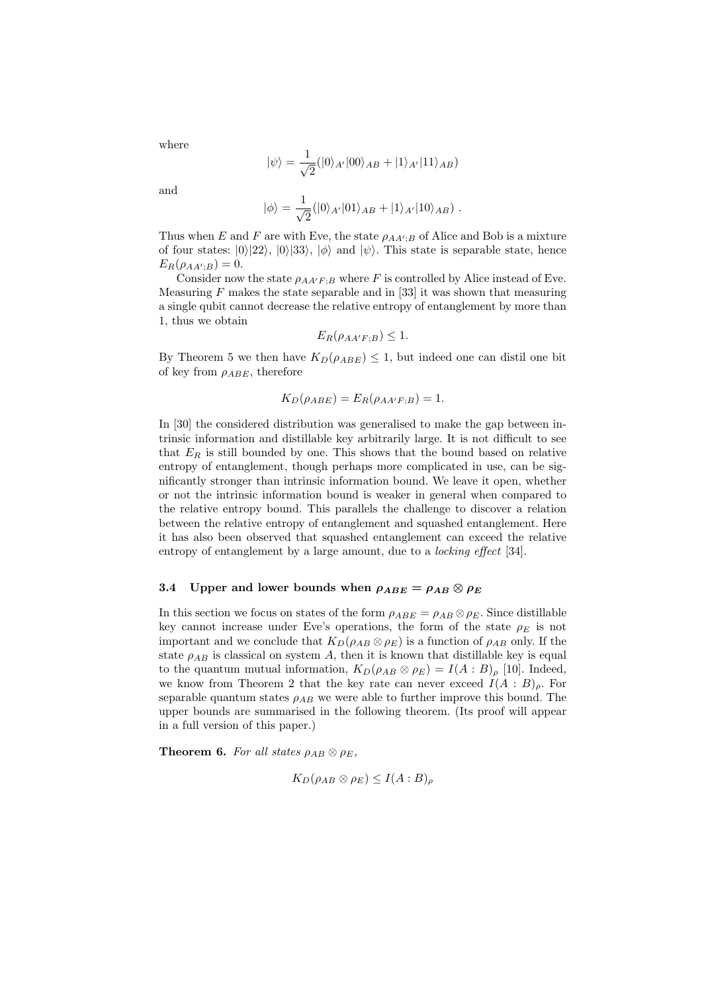where

$$
|\psi\rangle=\frac{1}{\sqrt{2}}(|0\rangle_{A'}|00\rangle_{AB}+|1\rangle_{A'}|11\rangle_{AB})
$$

and

$$
|\phi\rangle=\frac{1}{\sqrt{2}}(|0\rangle_{A'}|01\rangle_{AB}+|1\rangle_{A'}|10\rangle_{AB}).
$$

Thus when E and F are with Eve, the state  $\rho_{AA';B}$  of Alice and Bob is a mixture of four states:  $|0\rangle|22\rangle$ ,  $|0\rangle|33\rangle$ ,  $|\phi\rangle$  and  $|\psi\rangle$ . This state is separable state, hence  $E_R(\rho_{AA';B}) = 0.$ 

Consider now the state  $\rho_{AA'F:B}$  where F is controlled by Alice instead of Eve. Measuring  $F$  makes the state separable and in [33] it was shown that measuring a single qubit cannot decrease the relative entropy of entanglement by more than 1, thus we obtain

$$
E_R(\rho_{AA'F;B}) \leq 1.
$$

By Theorem 5 we then have  $K_D(\rho_{ABE}) \leq 1$ , but indeed one can distil one bit of key from  $\rho_{ABE}$ , therefore

$$
K_D(\rho_{ABE}) = E_R(\rho_{AA'F;B}) = 1.
$$

In [30] the considered distribution was generalised to make the gap between intrinsic information and distillable key arbitrarily large. It is not difficult to see that  $E_R$  is still bounded by one. This shows that the bound based on relative entropy of entanglement, though perhaps more complicated in use, can be significantly stronger than intrinsic information bound. We leave it open, whether or not the intrinsic information bound is weaker in general when compared to the relative entropy bound. This parallels the challenge to discover a relation between the relative entropy of entanglement and squashed entanglement. Here it has also been observed that squashed entanglement can exceed the relative entropy of entanglement by a large amount, due to a *locking effect* [34].

### 3.4 Upper and lower bounds when  $\rho_{ABE} = \rho_{AB} \otimes \rho_E$

In this section we focus on states of the form  $\rho_{ABE} = \rho_{AB} \otimes \rho_E$ . Since distillable key cannot increase under Eve's operations, the form of the state  $\rho_E$  is not important and we conclude that  $K_D(\rho_{AB} \otimes \rho_E)$  is a function of  $\rho_{AB}$  only. If the state  $\rho_{AB}$  is classical on system A, then it is known that distillable key is equal to the quantum mutual information,  $K_D(\rho_{AB} \otimes \rho_E) = I(A : B)_{\rho}$  [10]. Indeed, we know from Theorem 2 that the key rate can never exceed  $I(A : B)_{\rho}$ . For separable quantum states  $\rho_{AB}$  we were able to further improve this bound. The upper bounds are summarised in the following theorem. (Its proof will appear in a full version of this paper.)

**Theorem 6.** For all states  $\rho_{AB} \otimes \rho_E$ ,

$$
K_D(\rho_{AB}\otimes\rho_E)\leq I(A:B)_{\rho}
$$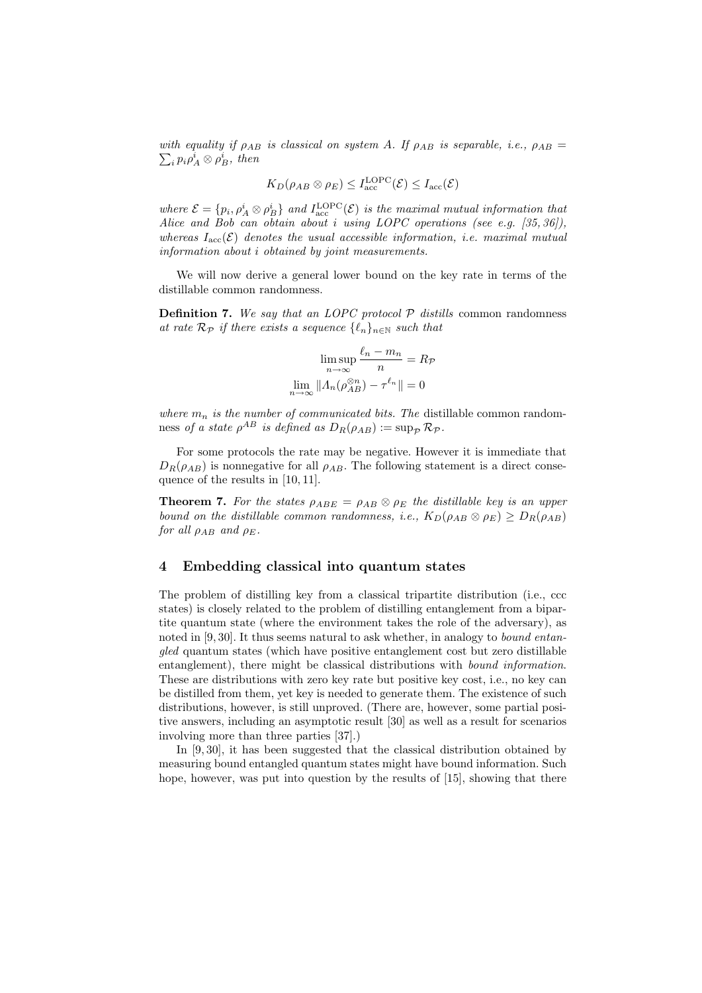with equality if  $\rho_{AB}$  is classical on system A. If  $\rho_{AB}$  is separable, i.e.,  $\rho_{AB} =$  $\sum_i p_i \rho_A^i \otimes \rho_B^i$ , then

$$
K_D(\rho_{AB}\otimes\rho_E)\leq I_{\rm acc}^{\rm LOPC}(\mathcal{E})\leq I_{\rm acc}(\mathcal{E})
$$

where  $\mathcal{E} = \{p_i, \rho_A^i \otimes \rho_B^i\}$  and  $I_{\text{acc}}^{\text{LOPC}}(\mathcal{E})$  is the maximal mutual information that Alice and Bob can obtain about *i* using LOPC operations (see e.g. [35, 36]), whereas  $I_{\text{acc}}(\mathcal{E})$  denotes the usual accessible information, i.e. maximal mutual information about i obtained by joint measurements.

We will now derive a general lower bound on the key rate in terms of the distillable common randomness.

**Definition 7.** We say that an LOPC protocol  $\mathcal{P}$  distills common randomness at rate  $\mathcal{R}_{\mathcal{P}}$  if there exists a sequence  $\{\ell_n\}_{n\in\mathbb{N}}$  such that

$$
\limsup_{n \to \infty} \frac{\ell_n - m_n}{n} = R_{\mathcal{P}}
$$

$$
\lim_{n \to \infty} ||\Lambda_n(\rho_{AB}^{\otimes n}) - \tau^{\ell_n}|| = 0
$$

where  $m_n$  is the number of communicated bits. The distillable common randomness of a state  $\rho^{AB}$  is defined as  $D_R(\rho_{AB}) := \sup_{\mathcal{P}} \mathcal{R}_{\mathcal{P}}$ .

For some protocols the rate may be negative. However it is immediate that  $D_R(\rho_{AB})$  is nonnegative for all  $\rho_{AB}$ . The following statement is a direct consequence of the results in [10, 11].

**Theorem 7.** For the states  $\rho_{ABE} = \rho_{AB} \otimes \rho_E$  the distillable key is an upper bound on the distillable common randomness, i.e.,  $K_D(\rho_{AB} \otimes \rho_E) \geq D_R(\rho_{AB})$ for all  $\rho_{AB}$  and  $\rho_E$ .

### 4 Embedding classical into quantum states

The problem of distilling key from a classical tripartite distribution (i.e., ccc states) is closely related to the problem of distilling entanglement from a bipartite quantum state (where the environment takes the role of the adversary), as noted in [9, 30]. It thus seems natural to ask whether, in analogy to *bound entan*gled quantum states (which have positive entanglement cost but zero distillable entanglement), there might be classical distributions with bound information. These are distributions with zero key rate but positive key cost, i.e., no key can be distilled from them, yet key is needed to generate them. The existence of such distributions, however, is still unproved. (There are, however, some partial positive answers, including an asymptotic result [30] as well as a result for scenarios involving more than three parties [37].)

In [9, 30], it has been suggested that the classical distribution obtained by measuring bound entangled quantum states might have bound information. Such hope, however, was put into question by the results of [15], showing that there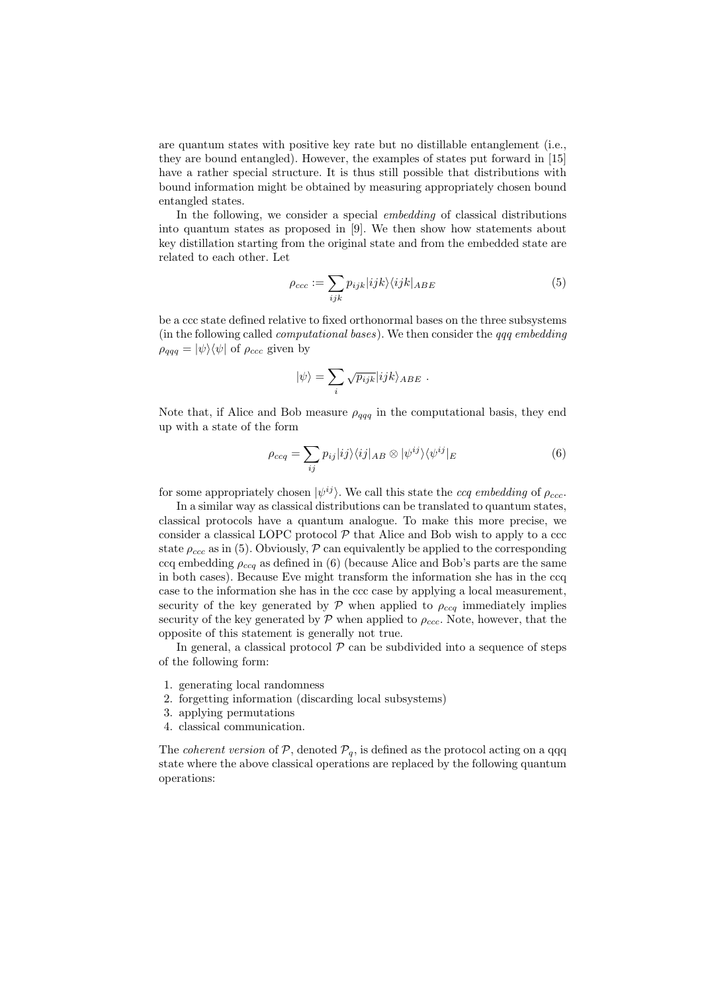are quantum states with positive key rate but no distillable entanglement (i.e., they are bound entangled). However, the examples of states put forward in [15] have a rather special structure. It is thus still possible that distributions with bound information might be obtained by measuring appropriately chosen bound entangled states.

In the following, we consider a special embedding of classical distributions into quantum states as proposed in [9]. We then show how statements about key distillation starting from the original state and from the embedded state are related to each other. Let

$$
\rho_{ccc} := \sum_{ijk} p_{ijk} |ijk\rangle\langle ijk|_{ABE} \tag{5}
$$

be a ccc state defined relative to fixed orthonormal bases on the three subsystems (in the following called computational bases). We then consider the qqq embedding  $\rho_{qqq} = |\psi\rangle\langle\psi|$  of  $\rho_{ccc}$  given by

$$
|\psi\rangle = \sum_i \sqrt{p_{ijk}} |ijk\rangle_{ABE} .
$$

Note that, if Alice and Bob measure  $\rho_{qqq}$  in the computational basis, they end up with a state of the form

$$
\rho_{ccq} = \sum_{ij} p_{ij} |ij\rangle\langle ij|_{AB} \otimes |\psi^{ij}\rangle\langle\psi^{ij}|_{E}
$$
\n(6)

for some appropriately chosen  $|\psi^{ij}\rangle$ . We call this state the *ccq embedding* of  $\rho_{ccc}$ .

In a similar way as classical distributions can be translated to quantum states, classical protocols have a quantum analogue. To make this more precise, we consider a classical LOPC protocol  $P$  that Alice and Bob wish to apply to a ccc state  $\rho_{ccc}$  as in (5). Obviously,  $P$  can equivalently be applied to the corresponding ccq embedding  $\rho_{ccq}$  as defined in (6) (because Alice and Bob's parts are the same in both cases). Because Eve might transform the information she has in the ccq case to the information she has in the ccc case by applying a local measurement, security of the key generated by  $P$  when applied to  $\rho_{ccq}$  immediately implies security of the key generated by  $P$  when applied to  $\rho_{ccc}$ . Note, however, that the opposite of this statement is generally not true.

In general, a classical protocol  $P$  can be subdivided into a sequence of steps of the following form:

- 1. generating local randomness
- 2. forgetting information (discarding local subsystems)
- 3. applying permutations
- 4. classical communication.

The *coherent version* of  $P$ , denoted  $P_q$ , is defined as the protocol acting on a qqq state where the above classical operations are replaced by the following quantum operations: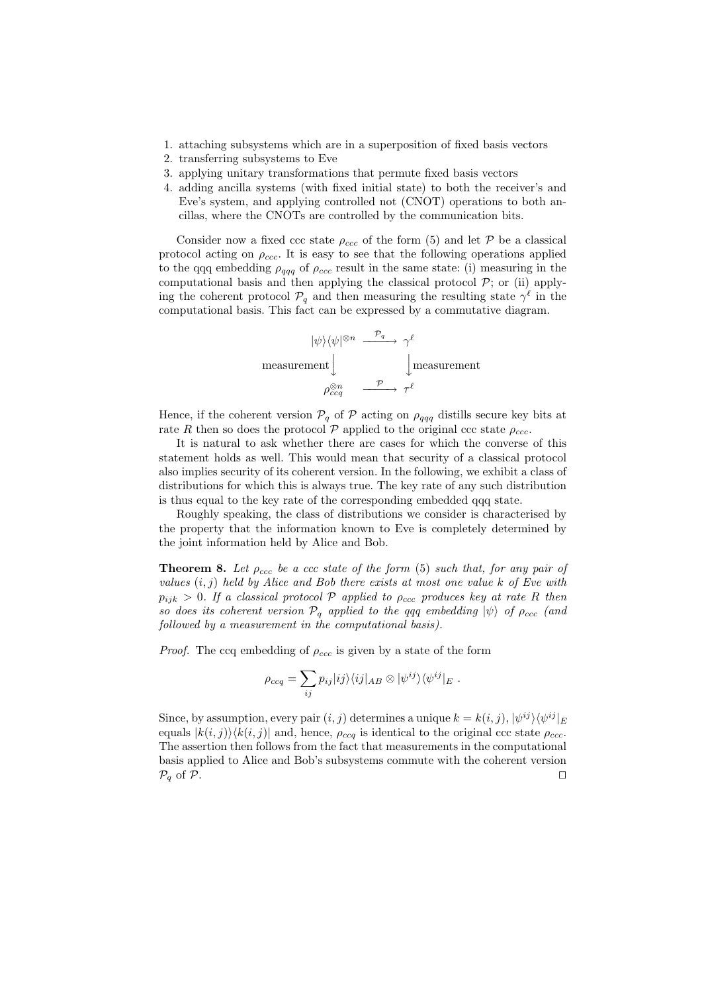- 1. attaching subsystems which are in a superposition of fixed basis vectors
- 2. transferring subsystems to Eve
- 3. applying unitary transformations that permute fixed basis vectors
- 4. adding ancilla systems (with fixed initial state) to both the receiver's and Eve's system, and applying controlled not (CNOT) operations to both ancillas, where the CNOTs are controlled by the communication bits.

Consider now a fixed ccc state  $\rho_{ccc}$  of the form (5) and let P be a classical protocol acting on  $\rho_{ccc}$ . It is easy to see that the following operations applied to the qqq embedding  $\rho_{qqq}$  of  $\rho_{ccc}$  result in the same state: (i) measuring in the computational basis and then applying the classical protocol  $P$ ; or (ii) applying the coherent protocol  $\mathcal{P}_q$  and then measuring the resulting state  $\gamma^{\ell}$  in the computational basis. This fact can be expressed by a commutative diagram.

$$
|\psi\rangle\langle\psi|^{\otimes n} \xrightarrow{\mathcal{P}_q} \gamma^{\ell}
$$
 measurement 
$$
\downarrow \qquad \qquad \downarrow \text{measurement}
$$

$$
\rho_{ccq}^{\otimes n} \xrightarrow{\mathcal{P}} \tau^{\ell}
$$

Hence, if the coherent version  $\mathcal{P}_q$  of  $\mathcal P$  acting on  $\rho_{qqq}$  distills secure key bits at rate R then so does the protocol P applied to the original ccc state  $\rho_{ccc}$ .

It is natural to ask whether there are cases for which the converse of this statement holds as well. This would mean that security of a classical protocol also implies security of its coherent version. In the following, we exhibit a class of distributions for which this is always true. The key rate of any such distribution is thus equal to the key rate of the corresponding embedded qqq state.

Roughly speaking, the class of distributions we consider is characterised by the property that the information known to Eve is completely determined by the joint information held by Alice and Bob.

**Theorem 8.** Let  $\rho_{ccc}$  be a ccc state of the form (5) such that, for any pair of values  $(i, j)$  held by Alice and Bob there exists at most one value k of Eve with  $p_{ijk} > 0$ . If a classical protocol P applied to  $\rho_{ccc}$  produces key at rate R then so does its coherent version  $P_q$  applied to the qqq embedding  $|\psi\rangle$  of  $\rho_{ccc}$  (and followed by a measurement in the computational basis).

*Proof.* The ccq embedding of  $\rho_{ccc}$  is given by a state of the form

$$
\rho_{ccq} = \sum_{ij} p_{ij} |ij\rangle\langle ij|_{AB} \otimes |\psi^{ij}\rangle\langle\psi^{ij}|_{E} .
$$

Since, by assumption, every pair  $(i, j)$  determines a unique  $k = k(i, j)$ ,  $|\psi^{ij}\rangle\langle\psi^{ij}|_E$ equals  $|k(i, j)\rangle\langle k(i, j)|$  and, hence,  $\rho_{ccq}$  is identical to the original ccc state  $\rho_{ccc}$ . The assertion then follows from the fact that measurements in the computational basis applied to Alice and Bob's subsystems commute with the coherent version  $\mathcal{P}_q$  of  $\mathcal{P}.$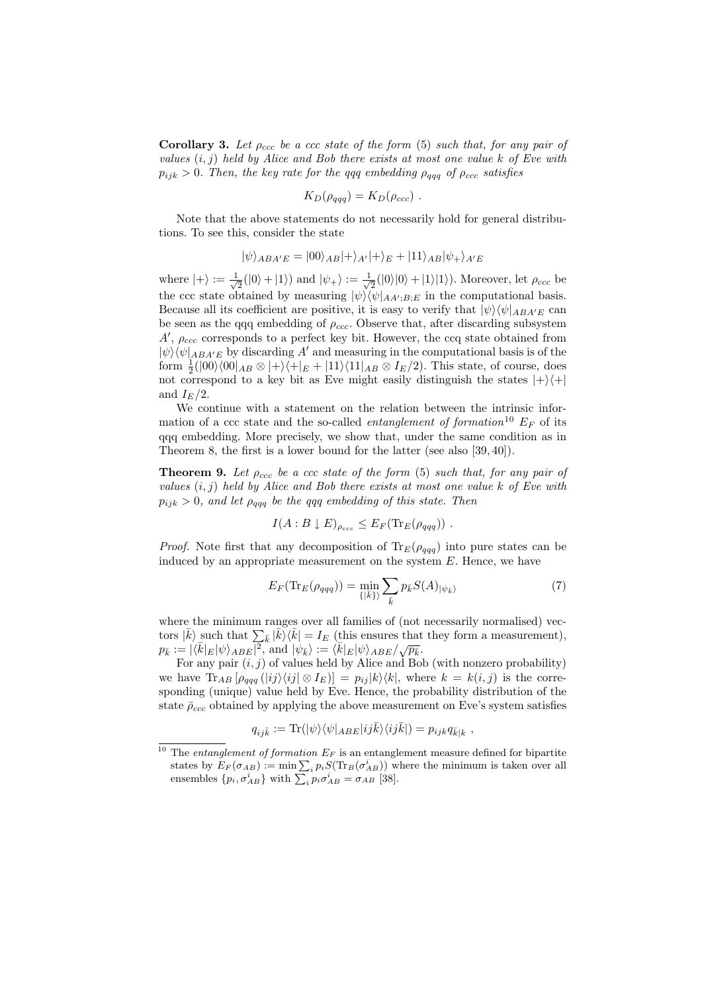**Corollary 3.** Let  $\rho_{ccc}$  be a ccc state of the form (5) such that, for any pair of values  $(i, j)$  held by Alice and Bob there exists at most one value k of Eve with  $p_{ijk} > 0$ . Then, the key rate for the qqq embedding  $\rho_{qqq}$  of  $\rho_{ccc}$  satisfies

$$
K_D(\rho_{qqq}) = K_D(\rho_{ccc}) .
$$

Note that the above statements do not necessarily hold for general distributions. To see this, consider the state

$$
|\psi\rangle_{ABA'E}=|00\rangle_{AB}|+\rangle_{A'}|+\rangle_{E}+|11\rangle_{AB}|\psi_{+}\rangle_{A'E}
$$

where  $|+\rangle := \frac{1}{4}$  $\frac{1}{2}(|0\rangle + |1\rangle)$  and  $|\psi_{+}\rangle := \frac{1}{\sqrt{2}}$  $\overline{2}\left( |0\rangle|0\rangle + |1\rangle|1\rangle \right)$ . Moreover, let  $\rho_{ccc}$  be the ccc state obtained by measuring  $|\psi\rangle\langle\psi|_{AA';B;E}$  in the computational basis. Because all its coefficient are positive, it is easy to verify that  $|\psi\rangle\langle\psi|_{ABA'E}$  can be seen as the qqq embedding of  $\rho_{ccc}$ . Observe that, after discarding subsystem  $A'$ ,  $\rho_{ccc}$  corresponds to a perfect key bit. However, the ccq state obtained from  $|\psi\rangle\langle\psi|_{ABA'E}$  by discarding A' and measuring in the computational basis is of the form  $\frac{1}{2}(|00\rangle\langle00|_{AB} \otimes |+\rangle\langle+|_{E}+|11\rangle\langle11|_{AB} \otimes I_{E}/2)$ . This state, of course, does not correspond to a key bit as Eve might easily distinguish the states  $|+\rangle\langle+|$ and  $I_E/2$ .

We continue with a statement on the relation between the intrinsic information of a ccc state and the so-called *entanglement of formation*<sup>10</sup>  $E_F$  of its qqq embedding. More precisely, we show that, under the same condition as in Theorem 8, the first is a lower bound for the latter (see also [39, 40]).

**Theorem 9.** Let  $\rho_{ccc}$  be a ccc state of the form (5) such that, for any pair of values  $(i, j)$  held by Alice and Bob there exists at most one value k of Eve with  $p_{ijk} > 0$ , and let  $\rho_{qqq}$  be the qqq embedding of this state. Then

$$
I(A:B \downarrow E)_{\rho_{ccc}} \leq E_F(\text{Tr}_E(\rho_{qqq})) .
$$

*Proof.* Note first that any decomposition of  $\text{Tr}_{E}(\rho_{qqq})$  into pure states can be induced by an appropriate measurement on the system  $E$ . Hence, we have

$$
E_F(\text{Tr}_E(\rho_{qqq})) = \min_{\{|k\}\rangle} \sum_{\bar{k}} p_{\bar{k}} S(A)_{|\psi_{\bar{k}}\rangle} \tag{7}
$$

where the minimum ranges over all families of (not necessarily normalised) vectors  $|\bar{k}\rangle$  such that  $\sum_{\bar{k}} |\bar{k}\rangle\langle\bar{k}| = I_E$  (this ensures that they form a measurement),  $p_{\bar{k}} := |\langle \bar{k}|E|\psi\rangle_{ABE}|^2$ , and  $|\psi_{\bar{k}}\rangle := \langle \bar{k}|E|\psi\rangle_{ABE}/\sqrt{p_{\bar{k}}}.$ 

For any pair  $(i, j)$  of values held by Alice and Bob (with nonzero probability) we have  $\text{Tr}_{AB} [\rho_{qqq} (|ij\rangle\langle ij| \otimes I_E)] = p_{ij} |k\rangle\langle k|$ , where  $k = k(i, j)$  is the corresponding (unique) value held by Eve. Hence, the probability distribution of the state  $\bar{\rho}_{ccc}$  obtained by applying the above measurement on Eve's system satisfies

$$
q_{ij\bar{k}} := \text{Tr}(|\psi\rangle\langle\psi|_{ABE}|ij\bar{k}\rangle\langle ij\bar{k}|) = p_{ijk}q_{\bar{k}|k} ,
$$

<sup>&</sup>lt;sup>10</sup> The entanglement of formation  $E_F$  is an entanglement measure defined for bipartite states by  $E_F(\sigma_{AB}) := \min \sum_i p_i S(\text{Tr}_B(\sigma_{AB}^i))$  where the minimum is taken over all ensembles  $\{p_i, \sigma_{AB}^i\}$  with  $\sum_i p_i \sigma_{AB}^i = \sigma_{AB}$  [38].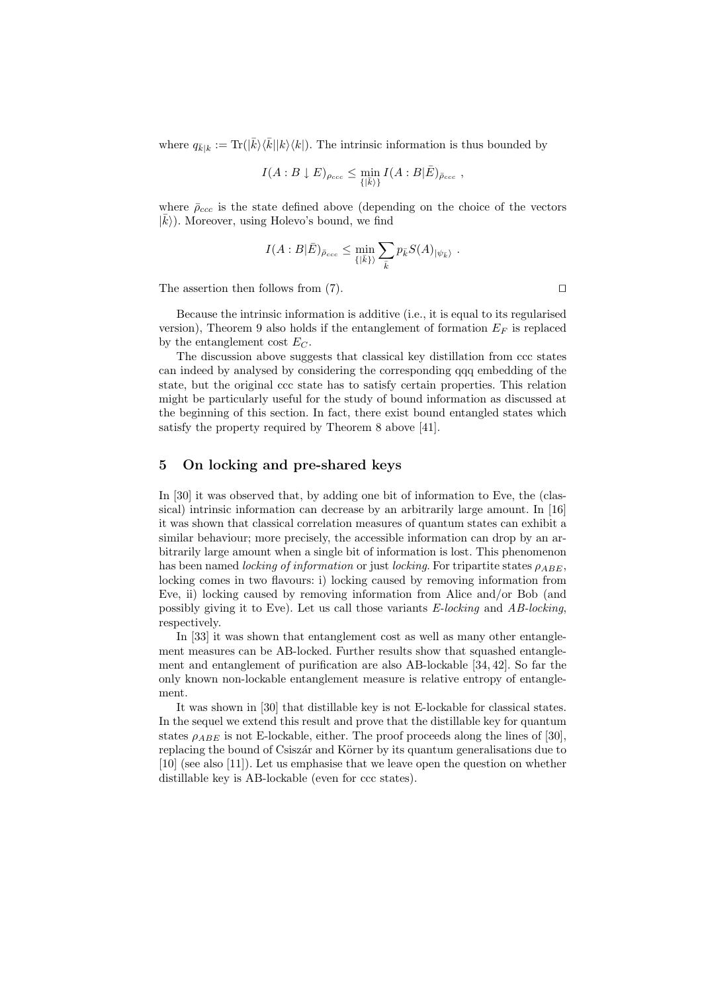where  $q_{\bar{k}|k} := \text{Tr}(|\bar{k}\rangle\langle\bar{k}||k\rangle\langle k|)$ . The intrinsic information is thus bounded by

$$
I(A:B\downarrow E)_{\rho_{ccc}} \leq \min_{\{|\bar{k}\}\} I(A:B|\bar{E})_{\bar{\rho}_{ccc}} ,
$$

where  $\bar{\rho}_{ccc}$  is the state defined above (depending on the choice of the vectors  $|\bar{k}\rangle$ ). Moreover, using Holevo's bound, we find

$$
I(A:B|\bar{E})_{\bar{\rho}_{ccc}} \leq \min_{\{|\bar{k}\}\} \sum_{\bar{k}} p_{\bar{k}} S(A)_{|\psi_{\bar{k}}\rangle} .
$$

The assertion then follows from  $(7)$ .

Because the intrinsic information is additive (i.e., it is equal to its regularised version), Theorem 9 also holds if the entanglement of formation  $E_F$  is replaced by the entanglement cost  $E_C$ .

The discussion above suggests that classical key distillation from ccc states can indeed by analysed by considering the corresponding qqq embedding of the state, but the original ccc state has to satisfy certain properties. This relation might be particularly useful for the study of bound information as discussed at the beginning of this section. In fact, there exist bound entangled states which satisfy the property required by Theorem 8 above [41].

### 5 On locking and pre-shared keys

In [30] it was observed that, by adding one bit of information to Eve, the (classical) intrinsic information can decrease by an arbitrarily large amount. In [16] it was shown that classical correlation measures of quantum states can exhibit a similar behaviour; more precisely, the accessible information can drop by an arbitrarily large amount when a single bit of information is lost. This phenomenon has been named locking of information or just locking. For tripartite states  $\rho_{ABE}$ , locking comes in two flavours: i) locking caused by removing information from Eve, ii) locking caused by removing information from Alice and/or Bob (and possibly giving it to Eve). Let us call those variants E-locking and AB-locking, respectively.

In [33] it was shown that entanglement cost as well as many other entanglement measures can be AB-locked. Further results show that squashed entanglement and entanglement of purification are also AB-lockable [34, 42]. So far the only known non-lockable entanglement measure is relative entropy of entanglement.

It was shown in [30] that distillable key is not E-lockable for classical states. In the sequel we extend this result and prove that the distillable key for quantum states  $\rho_{ABE}$  is not E-lockable, either. The proof proceeds along the lines of [30], replacing the bound of Csisza<sup>f</sup> and Körner by its quantum generalisations due to [10] (see also [11]). Let us emphasise that we leave open the question on whether distillable key is AB-lockable (even for ccc states).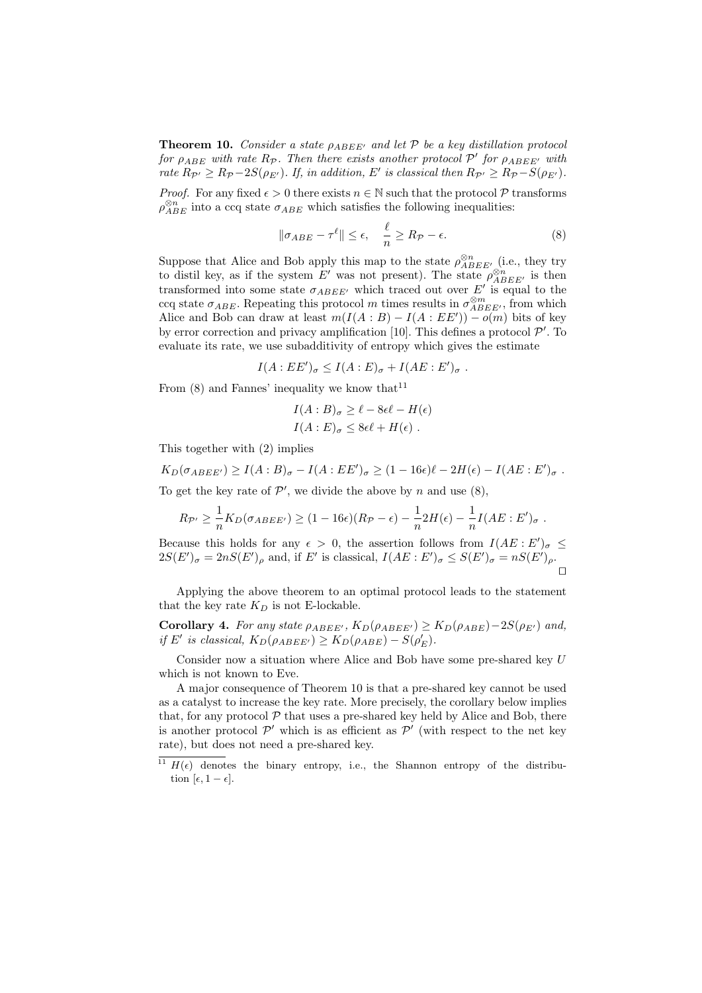**Theorem 10.** Consider a state  $\rho_{ABEE'}$  and let P be a key distillation protocol for  $\rho_{ABE}$  with rate  $R_{\mathcal{P}}$ . Then there exists another protocol  $\mathcal{P}'$  for  $\rho_{ABEE'}$  with rate  $R_{\mathcal{P}'} \ge R_{\mathcal{P}} - 2S(\rho_{E'})$ . If, in addition, E' is classical then  $R_{\mathcal{P}'} \ge R_{\mathcal{P}} - S(\rho_{E'})$ .

*Proof.* For any fixed  $\epsilon > 0$  there exists  $n \in \mathbb{N}$  such that the protocol  $\mathcal{P}$  transforms  $\rho_{ABE}^{\otimes n}$  into a ccq state  $\sigma_{ABE}$  which satisfies the following inequalities:

$$
\|\sigma_{ABE} - \tau^{\ell}\| \le \epsilon, \quad \frac{\ell}{n} \ge R_{\mathcal{P}} - \epsilon. \tag{8}
$$

Suppose that Alice and Bob apply this map to the state  $\rho_{ABEE'}^{\otimes n}$  (i.e., they try to distil key, as if the system E' was not present). The state  $\rho_{ABEE}^{\otimes n}$  is then transformed into some state  $\sigma_{ABEE'}$  which traced out over E' is equal to the ccq state  $\sigma_{ABE}$ . Repeating this protocol m times results in  $\sigma_{ABEE'}^{\otimes m}$ , from which Alice and Bob can draw at least  $m(I(A : B) - I(A : EE')) - o(m)$  bits of key by error correction and privacy amplification [10]. This defines a protocol  $\mathcal{P}'$ . To evaluate its rate, we use subadditivity of entropy which gives the estimate

$$
I(A:EE')_{\sigma} \leq I(A:E)_{\sigma} + I(AE:E')_{\sigma} .
$$

From  $(8)$  and Fannes' inequality we know that  $11$ 

$$
I(A:B)_{\sigma} \ge \ell - 8\epsilon\ell - H(\epsilon)
$$
  

$$
I(A:E)_{\sigma} \le 8\epsilon\ell + H(\epsilon)
$$
.

This together with (2) implies

$$
K_D(\sigma_{ABEE'}) \geq I(A:B)_{\sigma} - I(A:EE')_{\sigma} \geq (1-16\epsilon)\ell - 2H(\epsilon) - I(AE:E')_{\sigma}.
$$

To get the key rate of  $\mathcal{P}'$ , we divide the above by n and use  $(8)$ ,

$$
R_{\mathcal{P}'} \geq \frac{1}{n} K_D(\sigma_{ABEE'}) \geq (1 - 16\epsilon)(R_{\mathcal{P}} - \epsilon) - \frac{1}{n} 2H(\epsilon) - \frac{1}{n} I(AE : E')_{\sigma}.
$$

Because this holds for any  $\epsilon > 0$ , the assertion follows from  $I(AE : E')_{\sigma} \leq$  $2S(E')_{\sigma} = 2nS(E')_{\rho}$  and, if E' is classical,  $I(AE : E')_{\sigma} \leq S(E')_{\sigma} = nS(E')_{\rho}$ .  $\Box$ 

Applying the above theorem to an optimal protocol leads to the statement that the key rate  $K_D$  is not E-lockable.

Corollary 4. For any state  $\rho_{ABEE'}$ ,  $K_D(\rho_{ABEE'}) \geq K_D(\rho_{ABE})-2S(\rho_{E'})$  and, if E' is classical,  $K_D(\rho_{ABEE'}) \geq K_D(\rho_{ABE}) - S(\rho_E').$ 

Consider now a situation where Alice and Bob have some pre-shared key U which is not known to Eve.

A major consequence of Theorem 10 is that a pre-shared key cannot be used as a catalyst to increase the key rate. More precisely, the corollary below implies that, for any protocol  $P$  that uses a pre-shared key held by Alice and Bob, there is another protocol  $\mathcal{P}'$  which is as efficient as  $\mathcal{P}'$  (with respect to the net key rate), but does not need a pre-shared key.

<sup>&</sup>lt;sup>11</sup>  $H(\epsilon)$  denotes the binary entropy, i.e., the Shannon entropy of the distribution  $[\epsilon, 1 - \epsilon]$ .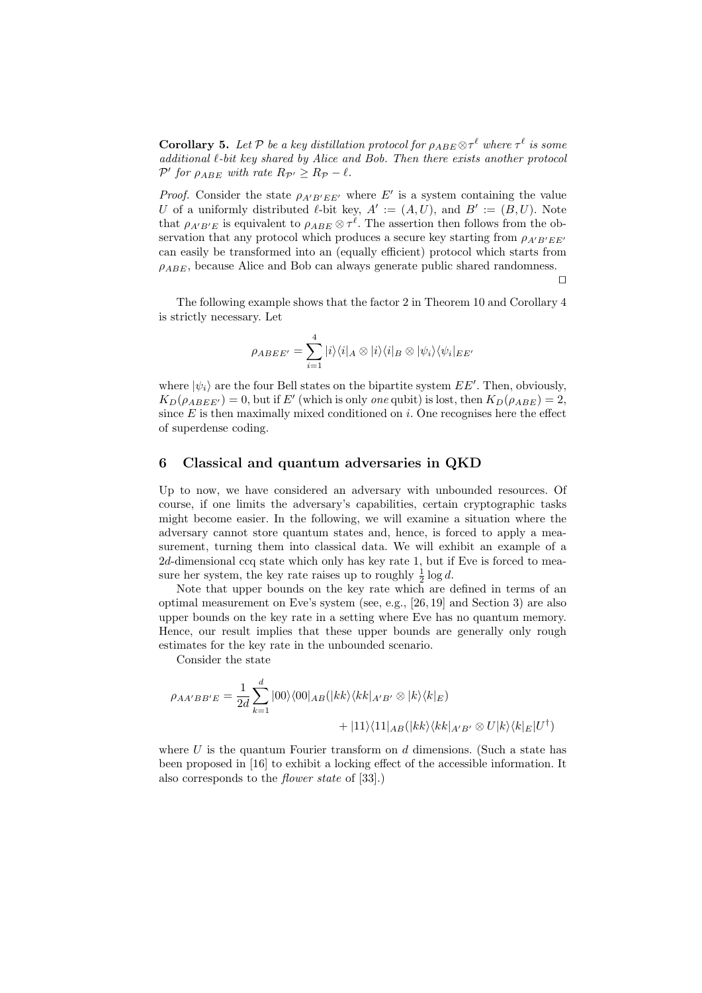**Corollary 5.** Let P be a key distillation protocol for  $\rho_{ABE} \otimes \tau^{\ell}$  where  $\tau^{\ell}$  is some additional  $\ell$ -bit key shared by Alice and Bob. Then there exists another protocol  $\mathcal{P}'$  for  $\rho_{ABE}$  with rate  $R_{\mathcal{P}'} \geq R_{\mathcal{P}} - \ell$ .

*Proof.* Consider the state  $\rho_{A'B'EE'}$  where E' is a system containing the value U of a uniformly distributed  $\ell$ -bit key,  $A' := (A, U)$ , and  $B' := (B, U)$ . Note that  $\rho_{A'B'E}$  is equivalent to  $\rho_{ABE} \otimes \tau^{\ell}$ . The assertion then follows from the observation that any protocol which produces a secure key starting from  $\rho_{A'B'EE}$ can easily be transformed into an (equally efficient) protocol which starts from  $\rho_{ABE}$ , because Alice and Bob can always generate public shared randomness.

 $\Box$ 

The following example shows that the factor 2 in Theorem 10 and Corollary 4 is strictly necessary. Let

$$
\rho_{ABEE'} = \sum_{i=1}^4 |i\rangle\langle i|_A \otimes |i\rangle\langle i|_B \otimes |\psi_i\rangle\langle\psi_i|_{EE'}
$$

where  $|\psi_i\rangle$  are the four Bell states on the bipartite system  $EE'$ . Then, obviously,  $K_D(\rho_{ABEE'}) = 0$ , but if E' (which is only *one* qubit) is lost, then  $K_D(\rho_{ABE}) = 2$ , since  $E$  is then maximally mixed conditioned on i. One recognises here the effect of superdense coding.

### 6 Classical and quantum adversaries in QKD

Up to now, we have considered an adversary with unbounded resources. Of course, if one limits the adversary's capabilities, certain cryptographic tasks might become easier. In the following, we will examine a situation where the adversary cannot store quantum states and, hence, is forced to apply a measurement, turning them into classical data. We will exhibit an example of a 2d-dimensional ccq state which only has key rate 1, but if Eve is forced to measure her system, the key rate raises up to roughly  $\frac{1}{2} \log d$ .

Note that upper bounds on the key rate which are defined in terms of an optimal measurement on Eve's system (see, e.g., [26, 19] and Section 3) are also upper bounds on the key rate in a setting where Eve has no quantum memory. Hence, our result implies that these upper bounds are generally only rough estimates for the key rate in the unbounded scenario.

Consider the state

$$
\rho_{AA'BB'E} = \frac{1}{2d} \sum_{k=1}^{d} |00\rangle\langle 00|_{AB} (|kk\rangle\langle kk|_{A'B'} \otimes |k\rangle\langle k|_{E})
$$

$$
+ |11\rangle\langle 11|_{AB} (|kk\rangle\langle kk|_{A'B'} \otimes U|k\rangle\langle k|_{E}|U^{\dagger})
$$

where  $U$  is the quantum Fourier transform on  $d$  dimensions. (Such a state has been proposed in [16] to exhibit a locking effect of the accessible information. It also corresponds to the flower state of [33].)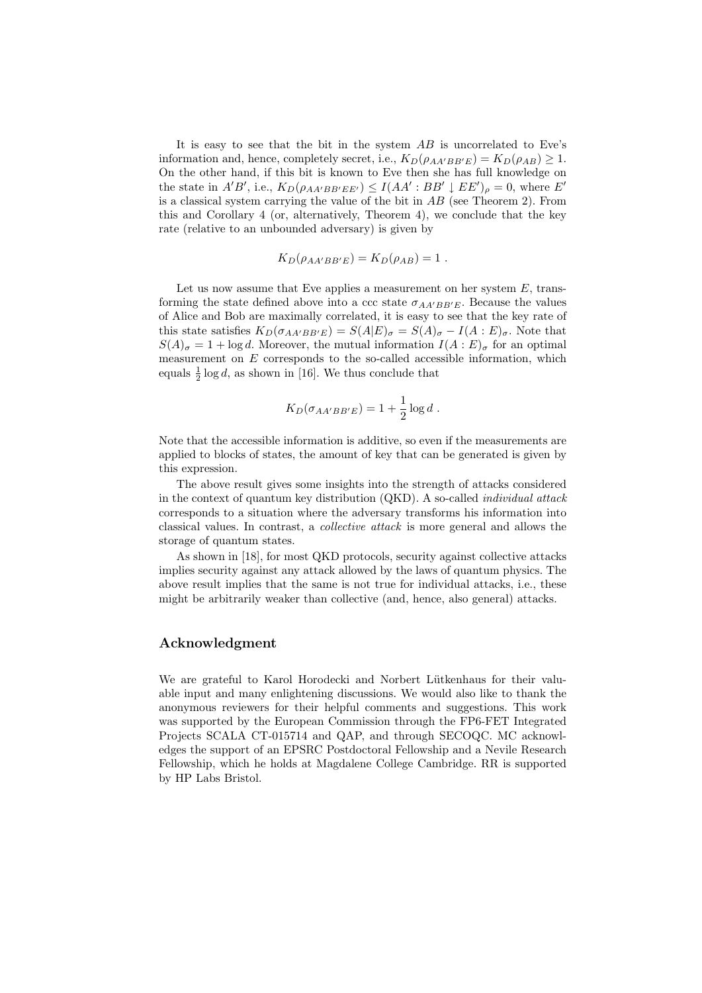It is easy to see that the bit in the system AB is uncorrelated to Eve's information and, hence, completely secret, i.e.,  $K_D(\rho_{AA'BB'E}) = K_D(\rho_{AB}) \geq 1$ . On the other hand, if this bit is known to Eve then she has full knowledge on the state in  $A'B'$ , i.e.,  $K_D(\rho_{AA'BB'EE'}) \leq I(AA' : BB' \downarrow EE')_{\rho} = 0$ , where E' is a classical system carrying the value of the bit in  $AB$  (see Theorem 2). From this and Corollary 4 (or, alternatively, Theorem 4), we conclude that the key rate (relative to an unbounded adversary) is given by

$$
K_D(\rho_{AA'BB'E}) = K_D(\rho_{AB}) = 1.
$$

Let us now assume that Eve applies a measurement on her system  $E$ , transforming the state defined above into a ccc state  $\sigma_{AA'BB'E}$ . Because the values of Alice and Bob are maximally correlated, it is easy to see that the key rate of this state satisfies  $K_D(\sigma_{AA'BB'E}) = S(A|E)_{\sigma} = S(A)_{\sigma} - I(A:E)_{\sigma}$ . Note that  $S(A)_{\sigma} = 1 + \log d$ . Moreover, the mutual information  $I(A : E)_{\sigma}$  for an optimal measurement on  $E$  corresponds to the so-called accessible information, which equals  $\frac{1}{2} \log d$ , as shown in [16]. We thus conclude that

$$
K_D(\sigma_{AA'BB'E}) = 1 + \frac{1}{2}\log d.
$$

Note that the accessible information is additive, so even if the measurements are applied to blocks of states, the amount of key that can be generated is given by this expression.

The above result gives some insights into the strength of attacks considered in the context of quantum key distribution (QKD). A so-called individual attack corresponds to a situation where the adversary transforms his information into classical values. In contrast, a collective attack is more general and allows the storage of quantum states.

As shown in [18], for most QKD protocols, security against collective attacks implies security against any attack allowed by the laws of quantum physics. The above result implies that the same is not true for individual attacks, i.e., these might be arbitrarily weaker than collective (and, hence, also general) attacks.

# Acknowledgment

We are grateful to Karol Horodecki and Norbert Lütkenhaus for their valuable input and many enlightening discussions. We would also like to thank the anonymous reviewers for their helpful comments and suggestions. This work was supported by the European Commission through the FP6-FET Integrated Projects SCALA CT-015714 and QAP, and through SECOQC. MC acknowledges the support of an EPSRC Postdoctoral Fellowship and a Nevile Research Fellowship, which he holds at Magdalene College Cambridge. RR is supported by HP Labs Bristol.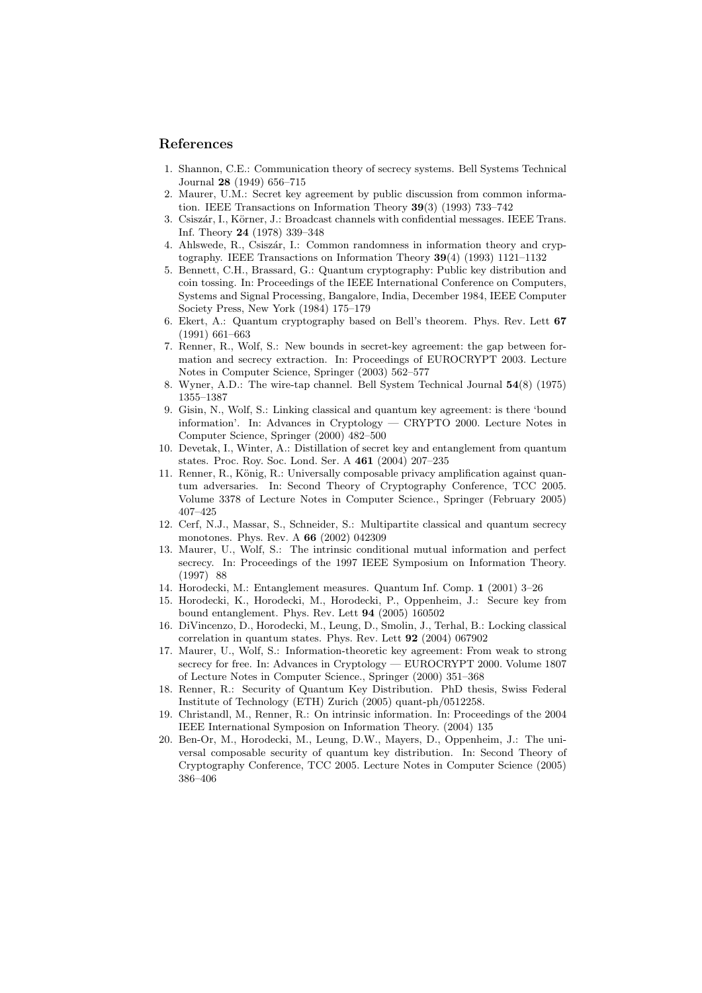### References

- 1. Shannon, C.E.: Communication theory of secrecy systems. Bell Systems Technical Journal 28 (1949) 656–715
- 2. Maurer, U.M.: Secret key agreement by public discussion from common information. IEEE Transactions on Information Theory 39(3) (1993) 733–742
- 3. Csiszár, I., Körner, J.: Broadcast channels with confidential messages. IEEE Trans. Inf. Theory 24 (1978) 339–348
- 4. Ahlswede, R., Csiszár, I.: Common randomness in information theory and cryptography. IEEE Transactions on Information Theory 39(4) (1993) 1121–1132
- 5. Bennett, C.H., Brassard, G.: Quantum cryptography: Public key distribution and coin tossing. In: Proceedings of the IEEE International Conference on Computers, Systems and Signal Processing, Bangalore, India, December 1984, IEEE Computer Society Press, New York (1984) 175–179
- 6. Ekert, A.: Quantum cryptography based on Bell's theorem. Phys. Rev. Lett 67 (1991) 661–663
- 7. Renner, R., Wolf, S.: New bounds in secret-key agreement: the gap between formation and secrecy extraction. In: Proceedings of EUROCRYPT 2003. Lecture Notes in Computer Science, Springer (2003) 562–577
- 8. Wyner, A.D.: The wire-tap channel. Bell System Technical Journal 54(8) (1975) 1355–1387
- 9. Gisin, N., Wolf, S.: Linking classical and quantum key agreement: is there 'bound information'. In: Advances in Cryptology — CRYPTO 2000. Lecture Notes in Computer Science, Springer (2000) 482–500
- 10. Devetak, I., Winter, A.: Distillation of secret key and entanglement from quantum states. Proc. Roy. Soc. Lond. Ser. A 461 (2004) 207–235
- 11. Renner, R., König, R.: Universally composable privacy amplification against quantum adversaries. In: Second Theory of Cryptography Conference, TCC 2005. Volume 3378 of Lecture Notes in Computer Science., Springer (February 2005) 407–425
- 12. Cerf, N.J., Massar, S., Schneider, S.: Multipartite classical and quantum secrecy monotones. Phys. Rev. A 66 (2002) 042309
- 13. Maurer, U., Wolf, S.: The intrinsic conditional mutual information and perfect secrecy. In: Proceedings of the 1997 IEEE Symposium on Information Theory. (1997) 88
- 14. Horodecki, M.: Entanglement measures. Quantum Inf. Comp. 1 (2001) 3–26
- 15. Horodecki, K., Horodecki, M., Horodecki, P., Oppenheim, J.: Secure key from bound entanglement. Phys. Rev. Lett 94 (2005) 160502
- 16. DiVincenzo, D., Horodecki, M., Leung, D., Smolin, J., Terhal, B.: Locking classical correlation in quantum states. Phys. Rev. Lett 92 (2004) 067902
- 17. Maurer, U., Wolf, S.: Information-theoretic key agreement: From weak to strong secrecy for free. In: Advances in Cryptology — EUROCRYPT 2000. Volume 1807 of Lecture Notes in Computer Science., Springer (2000) 351–368
- 18. Renner, R.: Security of Quantum Key Distribution. PhD thesis, Swiss Federal Institute of Technology (ETH) Zurich (2005) quant-ph/0512258.
- 19. Christandl, M., Renner, R.: On intrinsic information. In: Proceedings of the 2004 IEEE International Symposion on Information Theory. (2004) 135
- 20. Ben-Or, M., Horodecki, M., Leung, D.W., Mayers, D., Oppenheim, J.: The universal composable security of quantum key distribution. In: Second Theory of Cryptography Conference, TCC 2005. Lecture Notes in Computer Science (2005) 386–406